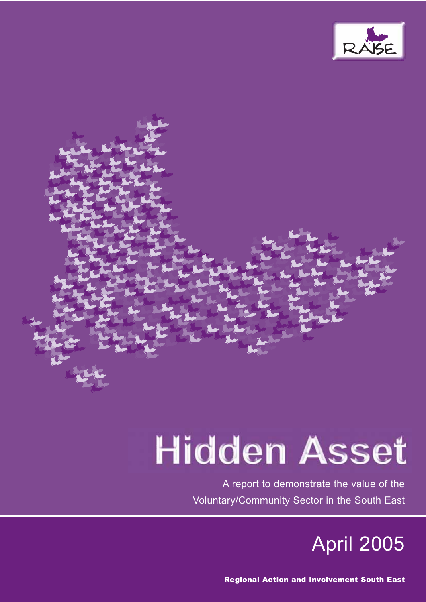

# **Hidden Asset**

A report to demonstrate the value of the Voluntary/Community Sector in the South East



Regional Action and Involvement South East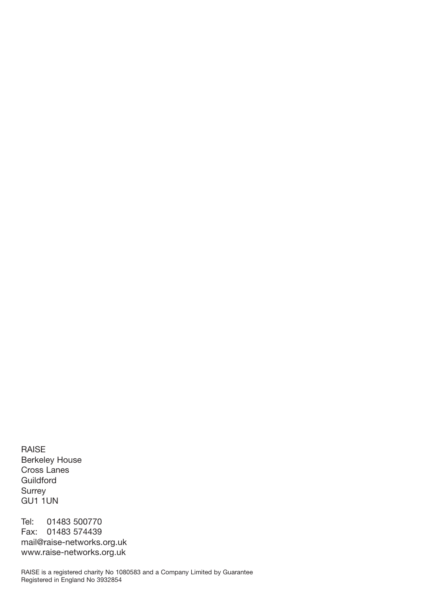RAISE Berkeley House Cross Lanes Guildford **Surrey** GU1 1UN

Tel: 01483 500770 Fax: 01483 574439 mail@raise-networks.org.uk www.raise-networks.org.uk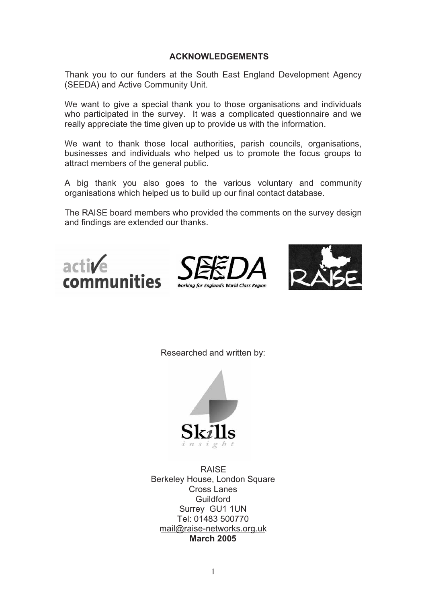#### **ACKNOWLEDGEMENTS**

Thank you to our funders at the South East England Development Agency (SEEDA) and Active Community Unit.

We want to give a special thank you to those organisations and individuals who participated in the survey. It was a complicated questionnaire and we really appreciate the time given up to provide us with the information.

We want to thank those local authorities, parish councils, organisations, businesses and individuals who helped us to promote the focus groups to attract members of the general public.

A big thank you also goes to the various voluntary and community organisations which helped us to build up our final contact database.

The RAISE board members who provided the comments on the survey design and findings are extended our thanks.







Researched and written by:



RAISE Berkeley House, London Square Cross Lanes **Guildford** Surrey GU1 1UN Tel: 01483 500770 mail@raise-networks.org.uk **March 2005**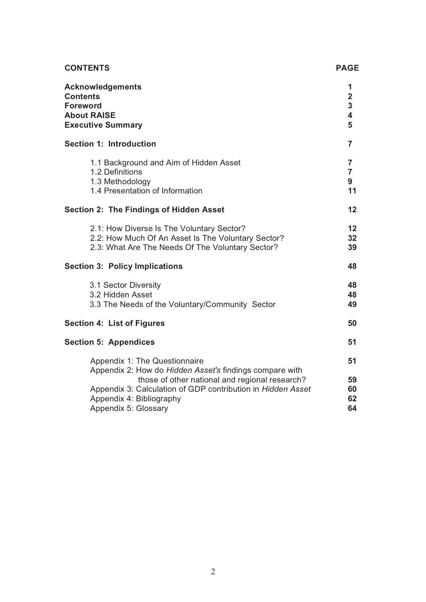| <b>CONTENTS</b>                                                                                                                                                                                                                       | <b>PAGE</b>                                              |
|---------------------------------------------------------------------------------------------------------------------------------------------------------------------------------------------------------------------------------------|----------------------------------------------------------|
| <b>Acknowledgements</b><br><b>Contents</b><br><b>Foreword</b><br><b>About RAISE</b><br><b>Executive Summary</b>                                                                                                                       | 1<br>$\overline{2}$<br>3<br>$\overline{\mathbf{4}}$<br>5 |
| <b>Section 1: Introduction</b>                                                                                                                                                                                                        | $\overline{7}$                                           |
| 1.1 Background and Aim of Hidden Asset<br>1.2 Definitions<br>1.3 Methodology<br>1.4 Presentation of Information                                                                                                                       | $\overline{7}$<br>$\overline{7}$<br>9<br>11              |
| <b>Section 2: The Findings of Hidden Asset</b>                                                                                                                                                                                        | 12                                                       |
| 2.1: How Diverse Is The Voluntary Sector?<br>2.2: How Much Of An Asset Is The Voluntary Sector?<br>2.3: What Are The Needs Of The Voluntary Sector?                                                                                   | 12<br>32<br>39                                           |
| <b>Section 3: Policy Implications</b>                                                                                                                                                                                                 | 48                                                       |
| 3.1 Sector Diversity<br>3.2 Hidden Asset<br>3.3 The Needs of the Voluntary/Community Sector                                                                                                                                           | 48<br>48<br>49                                           |
| Section 4: List of Figures                                                                                                                                                                                                            | 50                                                       |
| <b>Section 5: Appendices</b>                                                                                                                                                                                                          | 51                                                       |
| Appendix 1: The Questionnaire<br>Appendix 2: How do Hidden Asset's findings compare with<br>those of other national and regional research?<br>Appendix 3: Calculation of GDP contribution in Hidden Asset<br>Appendix 4: Bibliography | 51<br>59<br>60<br>62<br>64                               |
| Appendix 5: Glossary                                                                                                                                                                                                                  |                                                          |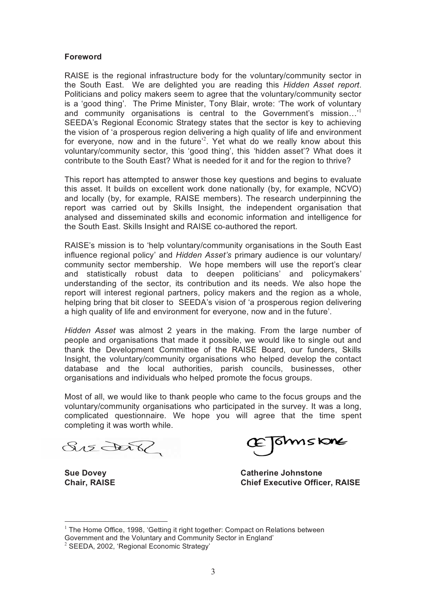#### **Foreword**

RAISE is the regional infrastructure body for the voluntary/community sector in the South East. We are delighted you are reading this *Hidden Asset report*. Politicians and policy makers seem to agree that the voluntary/community sector is a 'good thing'. The Prime Minister, Tony Blair, wrote: 'The work of voluntary and community organisations is central to the Government's mission...' SEEDA's Regional Economic Strategy states that the sector is key to achieving the vision of 'a prosperous region delivering a high quality of life and environment for everyone, now and in the future<sup>2</sup>. Yet what do we really know about this voluntary/community sector, this 'good thing', this 'hidden asset'? What does it contribute to the South East? What is needed for it and for the region to thrive?

This report has attempted to answer those key questions and begins to evaluate this asset. It builds on excellent work done nationally (by, for example, NCVO) and locally (by, for example, RAISE members). The research underpinning the report was carried out by Skills Insight, the independent organisation that analysed and disseminated skills and economic information and intelligence for the South East. Skills Insight and RAISE co-authored the report.

RAISE's mission is to 'help voluntary/community organisations in the South East influence regional policy' and *Hidden Asset's* primary audience is our voluntary/ community sector membership. We hope members will use the report's clear and statistically robust data to deepen politicians' and policymakers' understanding of the sector, its contribution and its needs. We also hope the report will interest regional partners, policy makers and the region as a whole, helping bring that bit closer to SEEDA's vision of 'a prosperous region delivering a high quality of life and environment for everyone, now and in the future'.

*Hidden Asset* was almost 2 years in the making. From the large number of people and organisations that made it possible, we would like to single out and thank the Development Committee of the RAISE Board, our funders, Skills Insight, the voluntary/community organisations who helped develop the contact database and the local authorities, parish councils, businesses, other organisations and individuals who helped promote the focus groups.

Most of all, we would like to thank people who came to the focus groups and the voluntary/community organisations who participated in the survey. It was a long, complicated questionnaire. We hope you will agree that the time spent completing it was worth while.

Sis Dar?

 $\overline{a}$ 

**Thmstone** 

**Sue Dovey Catherine Johnstone Chief Executive Officer, RAISE** 

 $1$  The Home Office, 1998, 'Getting it right together: Compact on Relations between Government and the Voluntary and Community Sector in England'

<sup>&</sup>lt;sup>2</sup> SEEDA, 2002, 'Regional Economic Strategy'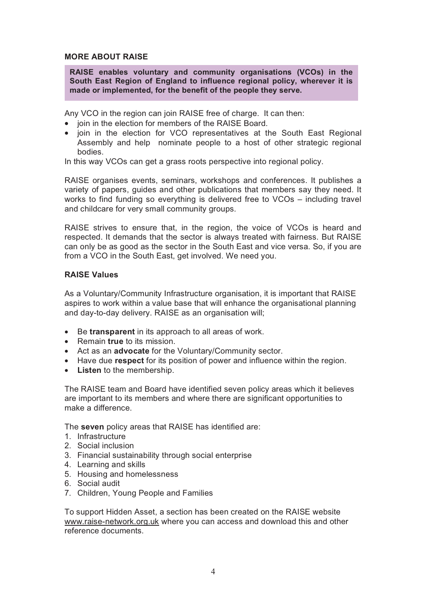#### **MORE ABOUT RAISE**

**RAISE enables voluntary and community organisations (VCOs) in the South East Region of England to influence regional policy, wherever it is made or implemented, for the benefit of the people they serve.** 

Any VCO in the region can join RAISE free of charge. It can then:

- join in the election for members of the RAISE Board.
- join in the election for VCO representatives at the South East Regional Assembly and help nominate people to a host of other strategic regional bodies.

In this way VCOs can get a grass roots perspective into regional policy.

RAISE organises events, seminars, workshops and conferences. It publishes a variety of papers, guides and other publications that members say they need. It works to find funding so everything is delivered free to VCOs – including travel and childcare for very small community groups.

RAISE strives to ensure that, in the region, the voice of VCOs is heard and respected. It demands that the sector is always treated with fairness. But RAISE can only be as good as the sector in the South East and vice versa. So, if you are from a VCO in the South East, get involved. We need you.

#### **RAISE Values**

As a Voluntary/Community Infrastructure organisation, it is important that RAISE aspires to work within a value base that will enhance the organisational planning and day-to-day delivery. RAISE as an organisation will;

- Be **transparent** in its approach to all areas of work.
- Remain **true** to its mission.
- Act as an **advocate** for the Voluntary/Community sector.
- Have due **respect** for its position of power and influence within the region.
- **Listen** to the membership.

The RAISE team and Board have identified seven policy areas which it believes are important to its members and where there are significant opportunities to make a difference.

The **seven** policy areas that RAISE has identified are:

- 1. Infrastructure
- 2. Social inclusion
- 3. Financial sustainability through social enterprise
- 4. Learning and skills
- 5. Housing and homelessness
- 6. Social audit
- 7. Children, Young People and Families

To support Hidden Asset, a section has been created on the RAISE website www.raise-network.org.uk where you can access and download this and other reference documents.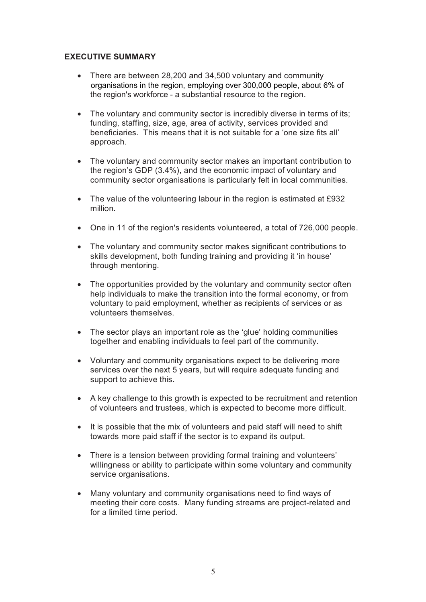#### **EXECUTIVE SUMMARY**

- There are between 28,200 and 34,500 voluntary and community the region's workforce - a substantial resource to the region. organisations in the region, employing over 300,000 people, about 6% of
- The voluntary and community sector is incredibly diverse in terms of its; funding, staffing, size, age, area of activity, services provided and beneficiaries. This means that it is not suitable for a 'one size fits all' approach.
- The voluntary and community sector makes an important contribution to the region's GDP (3.4%), and the economic impact of voluntary and community sector organisations is particularly felt in local communities.
- The value of the volunteering labour in the region is estimated at £932 million.
- One in 11 of the region's residents volunteered, a total of 726,000 people.
- The voluntary and community sector makes significant contributions to skills development, both funding training and providing it 'in house' through mentoring.
- The opportunities provided by the voluntary and community sector often help individuals to make the transition into the formal economy, or from voluntary to paid employment, whether as recipients of services or as volunteers themselves.
- The sector plays an important role as the 'glue' holding communities together and enabling individuals to feel part of the community.
- Voluntary and community organisations expect to be delivering more services over the next 5 years, but will require adequate funding and support to achieve this.
- A key challenge to this growth is expected to be recruitment and retention of volunteers and trustees, which is expected to become more difficult.
- It is possible that the mix of volunteers and paid staff will need to shift towards more paid staff if the sector is to expand its output.
- There is a tension between providing formal training and volunteers' willingness or ability to participate within some voluntary and community service organisations.
- Many voluntary and community organisations need to find ways of meeting their core costs. Many funding streams are project-related and for a limited time period.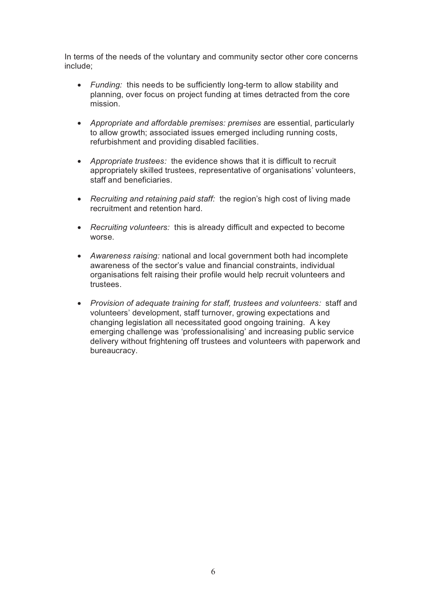In terms of the needs of the voluntary and community sector other core concerns include;

- *Funding:* this needs to be sufficiently long-term to allow stability and planning, over focus on project funding at times detracted from the core mission.
- *Appropriate and affordable premises: premises* are essential, particularly to allow growth; associated issues emerged including running costs, refurbishment and providing disabled facilities.
- *Appropriate trustees:* the evidence shows that it is difficult to recruit appropriately skilled trustees, representative of organisations' volunteers, staff and beneficiaries.
- *Recruiting and retaining paid staff:* the region's high cost of living made recruitment and retention hard.
- *Recruiting volunteers:* this is already difficult and expected to become worse.
- *Awareness raising:* national and local government both had incomplete awareness of the sector's value and financial constraints, individual organisations felt raising their profile would help recruit volunteers and trustees.
- *Provision of adequate training for staff, trustees and volunteers:* staff and volunteers' development, staff turnover, growing expectations and changing legislation all necessitated good ongoing training. A key emerging challenge was 'professionalising' and increasing public service delivery without frightening off trustees and volunteers with paperwork and bureaucracy.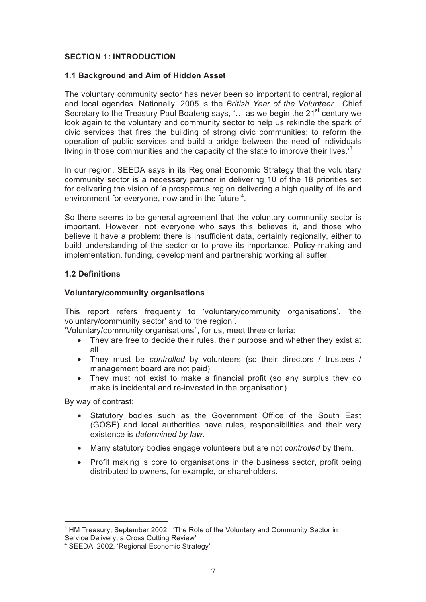#### **SECTION 1: INTRODUCTION**

#### **1.1 Background and Aim of Hidden Asset**

The voluntary community sector has never been so important to central, regional and local agendas. Nationally, 2005 is the *British Year of the Volunteer.* Chief Secretary to the Treasury Paul Boateng says, '... as we begin the 21<sup>st</sup> century we look again to the voluntary and community sector to help us rekindle the spark of civic services that fires the building of strong civic communities; to reform the operation of public services and build a bridge between the need of individuals living in those communities and the capacity of the state to improve their lives.<sup>3</sup>

In our region, SEEDA says in its Regional Economic Strategy that the voluntary community sector is a necessary partner in delivering 10 of the 18 priorities set for delivering the vision of 'a prosperous region delivering a high quality of life and environment for everyone, now and in the future'<sup>4</sup>.

So there seems to be general agreement that the voluntary community sector is important. However, not everyone who says this believes it, and those who believe it have a problem: there is insufficient data, certainly regionally, either to build understanding of the sector or to prove its importance. Policy-making and implementation, funding, development and partnership working all suffer.

#### **1.2 Definitions**

#### **Voluntary/community organisations**

This report refers frequently to 'voluntary/community organisations', 'the voluntary/community sector' and to 'the region'.

'Voluntary/community organisations`, for us, meet three criteria:

- They are free to decide their rules, their purpose and whether they exist at all.
- They must be *controlled* by volunteers (so their directors / trustees / management board are not paid).
- They must not exist to make a financial profit (so any surplus they do make is incidental and re-invested in the organisation).

By way of contrast:

- Statutory bodies such as the Government Office of the South East (GOSE) and local authorities have rules, responsibilities and their very existence is *determined by law*.
- Many statutory bodies engage volunteers but are not *controlled* by them.
- Profit making is core to organisations in the business sector, profit being distributed to owners, for example, or shareholders.

 $\overline{a}$  $3$  HM Treasury, September 2002, 'The Role of the Voluntary and Community Sector in Service Delivery, a Cross Cutting Review'

<sup>4</sup> SEEDA, 2002, 'Regional Economic Strategy'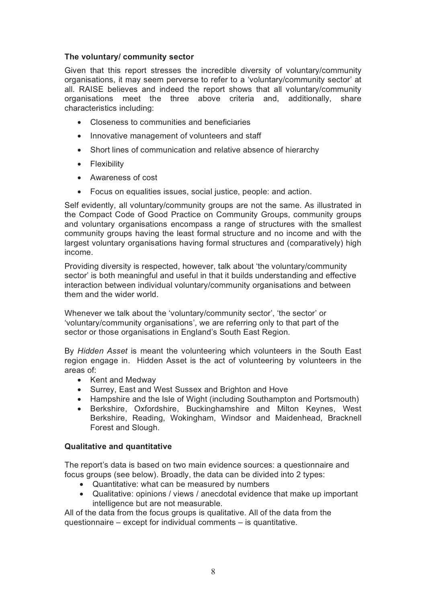#### **The voluntary/ community sector**

Given that this report stresses the incredible diversity of voluntary/community organisations, it may seem perverse to refer to a 'voluntary/community sector' at all. RAISE believes and indeed the report shows that all voluntary/community organisations meet the three above criteria and, additionally, share characteristics including:

- Closeness to communities and beneficiaries
- Innovative management of volunteers and staff
- Short lines of communication and relative absence of hierarchy
- Flexibility
- Awareness of cost
- Focus on equalities issues, social justice, people: and action.

Self evidently, all voluntary/community groups are not the same. As illustrated in the Compact Code of Good Practice on Community Groups, community groups and voluntary organisations encompass a range of structures with the smallest community groups having the least formal structure and no income and with the largest voluntary organisations having formal structures and (comparatively) high income.

Providing diversity is respected, however, talk about 'the voluntary/community sector' is both meaningful and useful in that it builds understanding and effective interaction between individual voluntary/community organisations and between them and the wider world.

Whenever we talk about the 'voluntary/community sector', 'the sector' or 'voluntary/community organisations', we are referring only to that part of the sector or those organisations in England's South East Region.

By *Hidden Asset* is meant the volunteering which volunteers in the South East region engage in. Hidden Asset is the act of volunteering by volunteers in the areas of:

- Kent and Medway
- Surrey, East and West Sussex and Brighton and Hove
- Hampshire and the Isle of Wight (including Southampton and Portsmouth)
- Berkshire, Oxfordshire, Buckinghamshire and Milton Keynes, West Berkshire, Reading, Wokingham, Windsor and Maidenhead, Bracknell Forest and Slough.

#### **Qualitative and quantitative**

The report's data is based on two main evidence sources: a questionnaire and focus groups (see below). Broadly, the data can be divided into 2 types:

- Quantitative: what can be measured by numbers
- Qualitative: opinions / views / anecdotal evidence that make up important intelligence but are not measurable.

All of the data from the focus groups is qualitative. All of the data from the questionnaire – except for individual comments – is quantitative.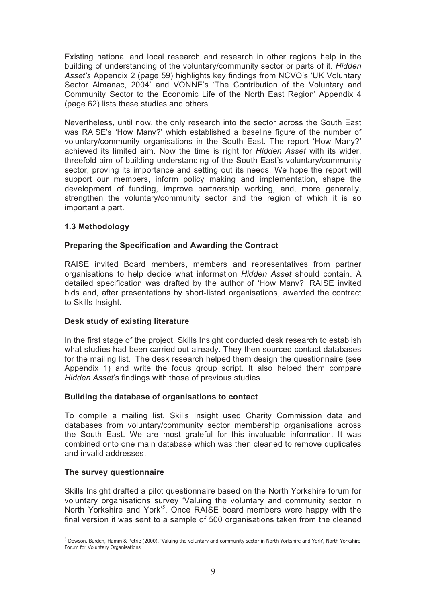Existing national and local research and research in other regions help in the building of understanding of the voluntary/community sector or parts of it. *Hidden Asset's* Appendix 2 (page 59) highlights key findings from NCVO's 'UK Voluntary Sector Almanac, 2004' and VONNE's 'The Contribution of the Voluntary and Community Sector to the Economic Life of the North East Region' Appendix 4 (page 62) lists these studies and others.

Nevertheless, until now, the only research into the sector across the South East was RAISE's 'How Many?' which established a baseline figure of the number of voluntary/community organisations in the South East. The report 'How Many?' achieved its limited aim. Now the time is right for *Hidden Asset* with its wider, threefold aim of building understanding of the South East's voluntary/community sector, proving its importance and setting out its needs. We hope the report will support our members, inform policy making and implementation, shape the development of funding, improve partnership working, and, more generally, strengthen the voluntary/community sector and the region of which it is so important a part.

#### **1.3 Methodology**

#### **Preparing the Specification and Awarding the Contract**

RAISE invited Board members, members and representatives from partner organisations to help decide what information *Hidden Asset* should contain. A detailed specification was drafted by the author of 'How Many?' RAISE invited bids and, after presentations by short-listed organisations, awarded the contract to Skills Insight.

#### **Desk study of existing literature**

In the first stage of the project, Skills Insight conducted desk research to establish what studies had been carried out already. They then sourced contact databases for the mailing list. The desk research helped them design the questionnaire (see Appendix 1) and write the focus group script. It also helped them compare *Hidden Asset*'s findings with those of previous studies.

#### **Building the database of organisations to contact**

To compile a mailing list, Skills Insight used Charity Commission data and databases from voluntary/community sector membership organisations across the South East. We are most grateful for this invaluable information. It was combined onto one main database which was then cleaned to remove duplicates and invalid addresses.

#### **The survey questionnaire**

 $\overline{a}$ 

Skills Insight drafted a pilot questionnaire based on the North Yorkshire forum for voluntary organisations survey 'Valuing the voluntary and community sector in North Yorkshire and York<sup>15</sup>. Once RAISE board members were happy with the final version it was sent to a sample of 500 organisations taken from the cleaned

<sup>5</sup> Dowson, Burden, Hamm & Petrie (2000), 'Valuing the voluntary and community sector in North Yorkshire and York', North Yorkshire Forum for Voluntary Organisations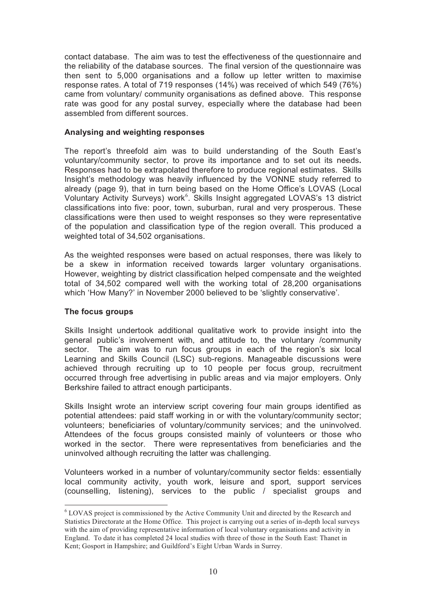contact database. The aim was to test the effectiveness of the questionnaire and the reliability of the database sources. The final version of the questionnaire was then sent to 5,000 organisations and a follow up letter written to maximise response rates. A total of 719 responses (14%) was received of which 549 (76%) came from voluntary/ community organisations as defined above. This response rate was good for any postal survey, especially where the database had been assembled from different sources.

#### **Analysing and weighting responses**

The report's threefold aim was to build understanding of the South East's voluntary/community sector, to prove its importance and to set out its needs**.** Responses had to be extrapolated therefore to produce regional estimates. Skills Insight's methodology was heavily influenced by the VONNE study referred to already (page 9), that in turn being based on the Home Office's LOVAS (Local Voluntary Activity Surveys) work<sup>6</sup>. Skills Insight aggregated LOVAS's 13 district classifications into five: poor, town, suburban, rural and very prosperous. These classifications were then used to weight responses so they were representative of the population and classification type of the region overall. This produced a weighted total of 34,502 organisations.

As the weighted responses were based on actual responses, there was likely to be a skew in information received towards larger voluntary organisations. However, weighting by district classification helped compensate and the weighted total of 34,502 compared well with the working total of 28,200 organisations which 'How Many?' in November 2000 believed to be 'slightly conservative'.

#### **The focus groups**

 $\overline{a}$ 

Skills Insight undertook additional qualitative work to provide insight into the general public's involvement with, and attitude to, the voluntary /community sector. The aim was to run focus groups in each of the region's six local Learning and Skills Council (LSC) sub-regions. Manageable discussions were achieved through recruiting up to 10 people per focus group, recruitment occurred through free advertising in public areas and via major employers. Only Berkshire failed to attract enough participants.

Skills Insight wrote an interview script covering four main groups identified as potential attendees: paid staff working in or with the voluntary/community sector; volunteers; beneficiaries of voluntary/community services; and the uninvolved. Attendees of the focus groups consisted mainly of volunteers or those who worked in the sector. There were representatives from beneficiaries and the uninvolved although recruiting the latter was challenging.

Volunteers worked in a number of voluntary/community sector fields: essentially local community activity, youth work, leisure and sport, support services (counselling, listening), services to the public / specialist groups and

<sup>&</sup>lt;sup>6</sup> LOVAS project is commissioned by the Active Community Unit and directed by the Research and Statistics Directorate at the Home Office. This project is carrying out a series of in-depth local surveys with the aim of providing representative information of local voluntary organisations and activity in England. To date it has completed 24 local studies with three of those in the South East: Thanet in Kent; Gosport in Hampshire; and Guildford's Eight Urban Wards in Surrey.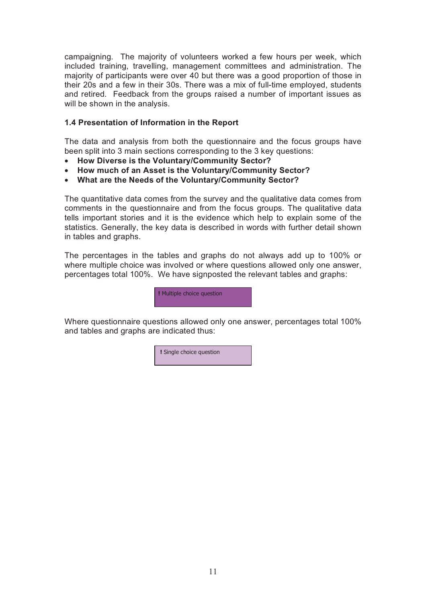campaigning. The majority of volunteers worked a few hours per week, which included training, travelling, management committees and administration. The majority of participants were over 40 but there was a good proportion of those in their 20s and a few in their 30s. There was a mix of full-time employed, students and retired. Feedback from the groups raised a number of important issues as will be shown in the analysis.

#### **1.4 Presentation of Information in the Report**

The data and analysis from both the questionnaire and the focus groups have been split into 3 main sections corresponding to the 3 key questions:

- **How Diverse is the Voluntary/Community Sector?**
- **How much of an Asset is the Voluntary/Community Sector?**
- **What are the Needs of the Voluntary/Community Sector?**

The quantitative data comes from the survey and the qualitative data comes from comments in the questionnaire and from the focus groups. The qualitative data tells important stories and it is the evidence which help to explain some of the statistics. Generally, the key data is described in words with further detail shown in tables and graphs.

The percentages in the tables and graphs do not always add up to 100% or where multiple choice was involved or where questions allowed only one answer, percentages total 100%. We have signposted the relevant tables and graphs:



Where questionnaire questions allowed only one answer, percentages total 100% and tables and graphs are indicated thus:

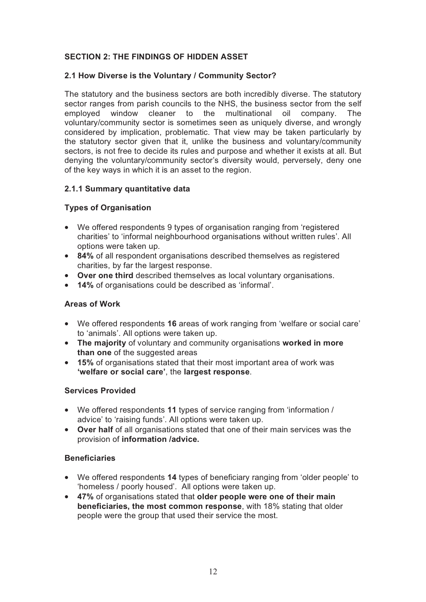# **SECTION 2: THE FINDINGS OF HIDDEN ASSET**

#### **2.1 How Diverse is the Voluntary / Community Sector?**

The statutory and the business sectors are both incredibly diverse. The statutory sector ranges from parish councils to the NHS, the business sector from the self employed window cleaner to the multinational oil company. The voluntary/community sector is sometimes seen as uniquely diverse, and wrongly considered by implication, problematic. That view may be taken particularly by the statutory sector given that it, unlike the business and voluntary/community sectors, is not free to decide its rules and purpose and whether it exists at all. But denying the voluntary/community sector's diversity would, perversely, deny one of the key ways in which it is an asset to the region.

#### **2.1.1 Summary quantitative data**

### **Types of Organisation**

- We offered respondents 9 types of organisation ranging from 'registered charities' to 'informal neighbourhood organisations without written rules'. All options were taken up.
- **84%** of all respondent organisations described themselves as registered charities, by far the largest response.
- **Over one third** described themselves as local voluntary organisations.
- **14%** of organisations could be described as 'informal'.

#### **Areas of Work**

- We offered respondents **16** areas of work ranging from 'welfare or social care' to 'animals'. All options were taken up.
- **The majority** of voluntary and community organisations **worked in more than one** of the suggested areas
- **15%** of organisations stated that their most important area of work was **'welfare or social care'**, the **largest response**.

#### **Services Provided**

- We offered respondents **11** types of service ranging from 'information / advice' to 'raising funds'. All options were taken up.
- **Over half** of all organisations stated that one of their main services was the provision of **information /advice.**

#### **Beneficiaries**

- We offered respondents **14** types of beneficiary ranging from 'older people' to 'homeless / poorly housed'. All options were taken up.
- **47%** of organisations stated that **older people were one of their main beneficiaries, the most common response**, with 18% stating that older people were the group that used their service the most.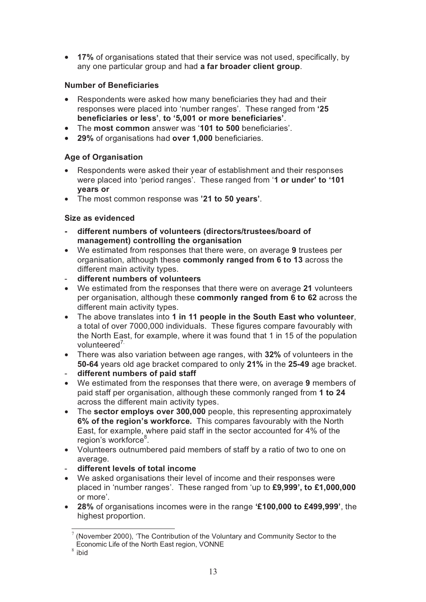• **17%** of organisations stated that their service was not used, specifically, by any one particular group and had **a far broader client group**.

# **Number of Beneficiaries**

- Respondents were asked how many beneficiaries they had and their responses were placed into 'number ranges'. These ranged from **'25 beneficiaries or less'**, **to '5,001 or more beneficiaries'**.
- The **most common** answer was '**101 to 500** beneficiaries'.
- **29%** of organisations had **over 1,000** beneficiaries.

# **Age of Organisation**

- Respondents were asked their year of establishment and their responses were placed into 'period ranges'. These ranged from '**1 or under' to '101 years or**
- The most common response was **'21 to 50 years'**.

# **Size as evidenced**

- **different numbers of volunteers (directors/trustees/board of management) controlling the organisation**
- We estimated from responses that there were, on average **9** trustees per organisation, although these **commonly ranged from 6 to 13** across the different main activity types.
- **different numbers of volunteers**
- We estimated from the responses that there were on average **21** volunteers per organisation, although these **commonly ranged from 6 to 62** across the different main activity types.
- The above translates into **1 in 11 people in the South East who volunteer**, a total of over 7000,000 individuals. These figures compare favourably with the North East, for example, where it was found that 1 in 15 of the population volunteered<sup>7.</sup>
- There was also variation between age ranges, with **32%** of volunteers in the **50-64** years old age bracket compared to only **21%** in the **25-49** age bracket.
- **different numbers of paid staff**
- We estimated from the responses that there were, on average **9** members of paid staff per organisation, although these commonly ranged from **1 to 24** across the different main activity types.
- The **sector employs over 300,000** people, this representing approximately **6% of the region's workforce.** This compares favourably with the North East, for example, where paid staff in the sector accounted for 4% of the region's workforce<sup>8</sup>.
- Volunteers outnumbered paid members of staff by a ratio of two to one on average.
- **different levels of total income**
- We asked organisations their level of income and their responses were placed in 'number ranges'. These ranged from 'up to **£9,999', to £1,000,000** or more'.
- **28%** of organisations incomes were in the range **'£100,000 to £499,999'**, the highest proportion.

 $\overline{a}$ <sup>7</sup> (November 2000), 'The Contribution of the Voluntary and Community Sector to the Economic Life of the North East region, VONNE

<sup>8</sup> ibid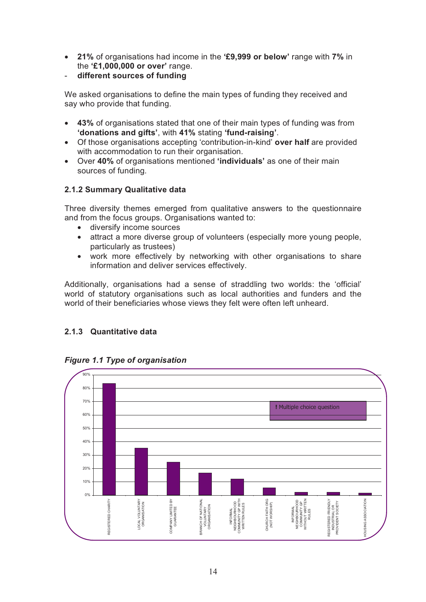- **21%** of organisations had income in the **'£9,999 or below'** range with **7%** in the **'£1,000,000 or over'** range.
- **different sources of funding**

We asked organisations to define the main types of funding they received and say who provide that funding.

- **43%** of organisations stated that one of their main types of funding was from **'donations and gifts'**, with **41%** stating **'fund-raising'**.
- Of those organisations accepting 'contribution-in-kind' **over half** are provided with accommodation to run their organisation.
- Over **40%** of organisations mentioned **'individuals'** as one of their main sources of funding.

# **2.1.2 Summary Qualitative data**

Three diversity themes emerged from qualitative answers to the questionnaire and from the focus groups. Organisations wanted to:

- diversify income sources
- attract a more diverse group of volunteers (especially more young people, particularly as trustees)
- work more effectively by networking with other organisations to share information and deliver services effectively.

Additionally, organisations had a sense of straddling two worlds: the 'official' world of statutory organisations such as local authorities and funders and the world of their beneficiaries whose views they felt were often left unheard.

# **2.1.3 Quantitative data**



# *Figure 1.1 Type of organisation*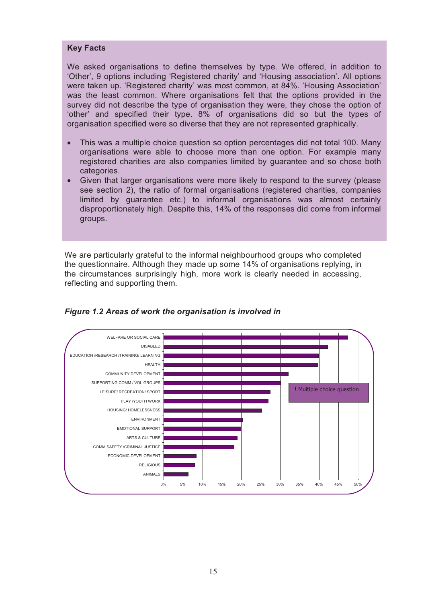#### **Key Facts**

We asked organisations to define themselves by type. We offered, in addition to 'Other', 9 options including 'Registered charity' and 'Housing association'. All options were taken up. 'Registered charity' was most common, at 84%. 'Housing Association' was the least common. Where organisations felt that the options provided in the survey did not describe the type of organisation they were, they chose the option of 'other' and specified their type. 8% of organisations did so but the types of organisation specified were so diverse that they are not represented graphically.

- This was a multiple choice question so option percentages did not total 100. Many organisations were able to choose more than one option. For example many registered charities are also companies limited by guarantee and so chose both categories.
- Given that larger organisations were more likely to respond to the survey (please see section 2), the ratio of formal organisations (registered charities, companies limited by guarantee etc.) to informal organisations was almost certainly disproportionately high. Despite this, 14% of the responses did come from informal groups.

We are particularly grateful to the informal neighbourhood groups who completed the questionnaire. Although they made up some 14% of organisations replying, in the circumstances surprisingly high, more work is clearly needed in accessing, reflecting and supporting them.



*Figure 1.2 Areas of work the organisation is involved in*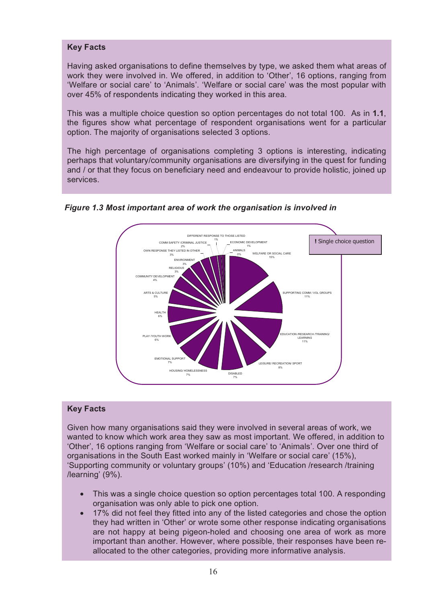#### **Key Facts**

Having asked organisations to define themselves by type, we asked them what areas of work they were involved in. We offered, in addition to 'Other', 16 options, ranging from 'Welfare or social care' to 'Animals'. 'Welfare or social care' was the most popular with over 45% of respondents indicating they worked in this area.

This was a multiple choice question so option percentages do not total 100. As in **1.1**, the figures show what percentage of respondent organisations went for a particular option. The majority of organisations selected 3 options.

The high percentage of organisations completing 3 options is interesting, indicating perhaps that voluntary/community organisations are diversifying in the quest for funding and / or that they focus on beneficiary need and endeavour to provide holistic, joined up services.



*Figure 1.3 Most important area of work the organisation is involved in* 

# **Key Facts**

Given how many organisations said they were involved in several areas of work, we wanted to know which work area they saw as most important. We offered, in addition to 'Other', 16 options ranging from 'Welfare or social care' to 'Animals'. Over one third of organisations in the South East worked mainly in 'Welfare or social care' (15%), 'Supporting community or voluntary groups' (10%) and 'Education /research /training /learning' (9%).

- This was a single choice question so option percentages total 100. A responding organisation was only able to pick one option.
- 17% did not feel they fitted into any of the listed categories and chose the option they had written in 'Other' or wrote some other response indicating organisations are not happy at being pigeon-holed and choosing one area of work as more important than another. However, where possible, their responses have been reallocated to the other categories, providing more informative analysis.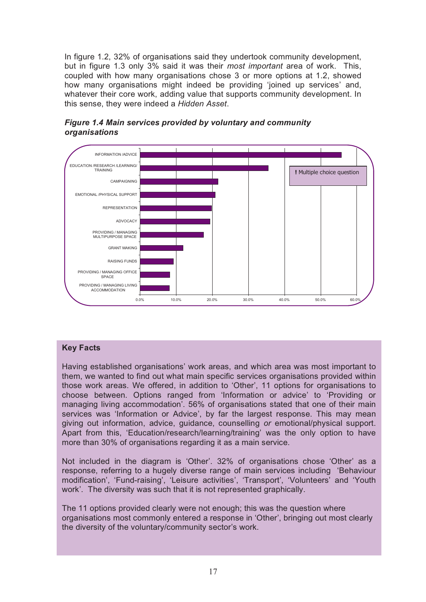In figure 1.2, 32% of organisations said they undertook community development, but in figure 1.3 only 3% said it was their *most important* area of work. This, coupled with how many organisations chose 3 or more options at 1.2, showed how many organisations might indeed be providing 'joined up services' and, whatever their core work, adding value that supports community development. In this sense, they were indeed a *Hidden Asset*.



# *Figure 1.4 Main services provided by voluntary and community organisations*

### **Key Facts**

Having established organisations' work areas, and which area was most important to them, we wanted to find out what main specific services organisations provided within those work areas. We offered, in addition to 'Other', 11 options for organisations to choose between. Options ranged from 'Information or advice' to 'Providing or managing living accommodation'. 56% of organisations stated that one of their main services was 'Information or Advice', by far the largest response. This may mean giving out information, advice, guidance, counselling *or* emotional/physical support. Apart from this, 'Education/research/learning/training' was the only option to have more than 30% of organisations regarding it as a main service.

Not included in the diagram is 'Other'. 32% of organisations chose 'Other' as a response, referring to a hugely diverse range of main services including 'Behaviour modification', 'Fund-raising', 'Leisure activities', 'Transport', 'Volunteers' and 'Youth work'. The diversity was such that it is not represented graphically.

The 11 options provided clearly were not enough; this was the question where organisations most commonly entered a response in 'Other', bringing out most clearly the diversity of the voluntary/community sector's work.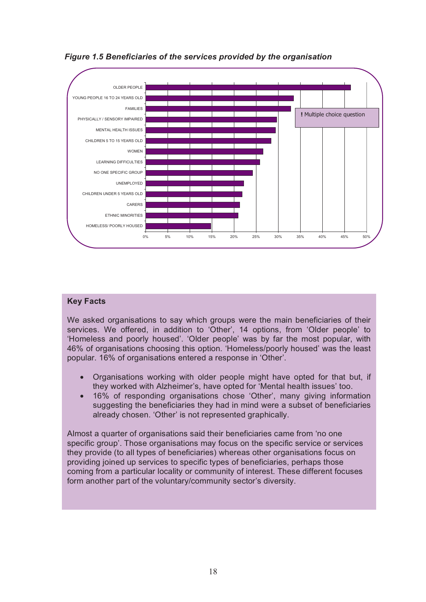

*Figure 1.5 Beneficiaries of the services provided by the organisation* 

### **Key Facts**

We asked organisations to say which groups were the main beneficiaries of their services. We offered, in addition to 'Other', 14 options, from 'Older people' to 'Homeless and poorly housed'. 'Older people' was by far the most popular, with 46% of organisations choosing this option. 'Homeless/poorly housed' was the least popular. 16% of organisations entered a response in 'Other'.

- Organisations working with older people might have opted for that but, if they worked with Alzheimer's, have opted for 'Mental health issues' too.
- 16% of responding organisations chose 'Other', many giving information suggesting the beneficiaries they had in mind were a subset of beneficiaries already chosen. 'Other' is not represented graphically.

Almost a quarter of organisations said their beneficiaries came from 'no one specific group'. Those organisations may focus on the specific service or services they provide (to all types of beneficiaries) whereas other organisations focus on providing joined up services to specific types of beneficiaries, perhaps those coming from a particular locality or community of interest. These different focuses form another part of the voluntary/community sector's diversity.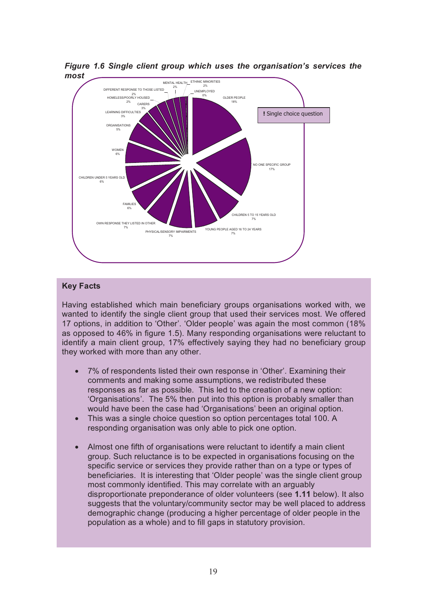

*Figure 1.6 Single client group which uses the organisation's services the most* 

#### **Key Facts**

Having established which main beneficiary groups organisations worked with, we wanted to identify the single client group that used their services most. We offered 17 options, in addition to 'Other'. 'Older people' was again the most common (18% as opposed to 46% in figure 1.5). Many responding organisations were reluctant to identify a main client group, 17% effectively saying they had no beneficiary group they worked with more than any other.

- 7% of respondents listed their own response in 'Other'. Examining their comments and making some assumptions, we redistributed these responses as far as possible. This led to the creation of a new option: 'Organisations'. The 5% then put into this option is probably smaller than would have been the case had 'Organisations' been an original option.
- This was a single choice question so option percentages total 100. A responding organisation was only able to pick one option.
- Almost one fifth of organisations were reluctant to identify a main client group. Such reluctance is to be expected in organisations focusing on the specific service or services they provide rather than on a type or types of beneficiaries. It is interesting that 'Older people' was the single client group most commonly identified. This may correlate with an arguably disproportionate preponderance of older volunteers (see **1.11** below). It also suggests that the voluntary/community sector may be well placed to address demographic change (producing a higher percentage of older people in the population as a whole) and to fill gaps in statutory provision.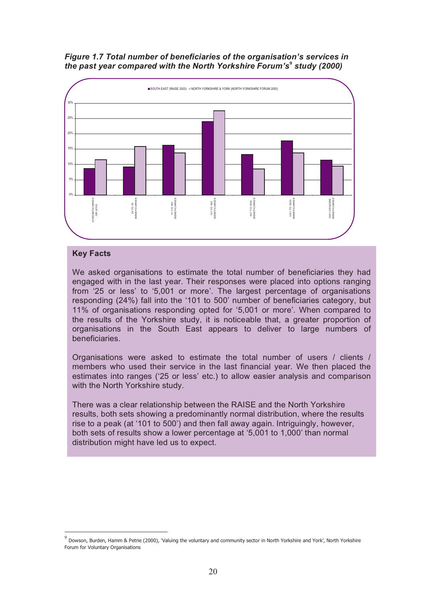#### *Figure 1.7 Total number of beneficiaries of the organisation's services in the past year compared with the North Yorkshire Forum's***<sup>9</sup>** *study (2000)*



#### **Key Facts**

 $\overline{a}$ 

We asked organisations to estimate the total number of beneficiaries they had engaged with in the last year. Their responses were placed into options ranging from '25 or less' to '5,001 or more'. The largest percentage of organisations responding (24%) fall into the '101 to 500' number of beneficiaries category, but 11% of organisations responding opted for '5,001 or more'. When compared to the results of the Yorkshire study, it is noticeable that, a greater proportion of organisations in the South East appears to deliver to large numbers of beneficiaries.

Organisations were asked to estimate the total number of users / clients / members who used their service in the last financial year. We then placed the estimates into ranges ('25 or less' etc.) to allow easier analysis and comparison with the North Yorkshire study.

There was a clear relationship between the RAISE and the North Yorkshire results, both sets showing a predominantly normal distribution, where the results rise to a peak (at '101 to 500') and then fall away again. Intriguingly, however, both sets of results show a lower percentage at '5,001 to 1,000' than normal distribution might have led us to expect.

 $9$  Dowson, Burden, Hamm & Petrie (2000), 'Valuing the voluntary and community sector in North Yorkshire and York', North Yorkshire Forum for Voluntary Organisations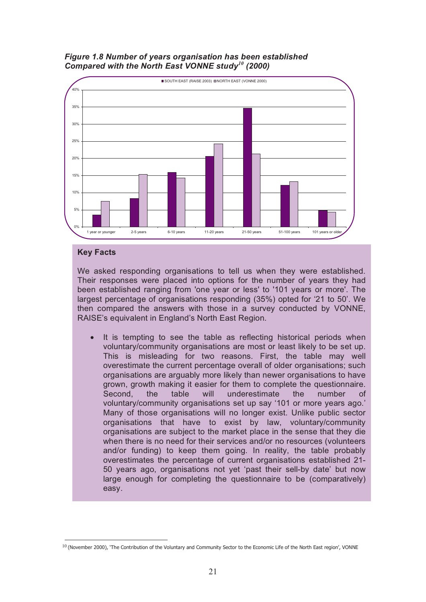



#### **Key Facts**

We asked responding organisations to tell us when they were established. Their responses were placed into options for the number of years they had been established ranging from 'one year or less' to '101 years or more'. The largest percentage of organisations responding (35%) opted for '21 to 50'. We then compared the answers with those in a survey conducted by VONNE, RAISE's equivalent in England's North East Region.

It is tempting to see the table as reflecting historical periods when voluntary/community organisations are most or least likely to be set up. This is misleading for two reasons. First, the table may well overestimate the current percentage overall of older organisations; such organisations are arguably more likely than newer organisations to have grown, growth making it easier for them to complete the questionnaire. Second, the table will underestimate the number of voluntary/community organisations set up say '101 or more years ago.' Many of those organisations will no longer exist. Unlike public sector organisations that have to exist by law, voluntary/community organisations are subject to the market place in the sense that they die when there is no need for their services and/or no resources (volunteers and/or funding) to keep them going. In reality, the table probably overestimates the percentage of current organisations established 21- 50 years ago, organisations not yet 'past their sell-by date' but now large enough for completing the questionnaire to be (comparatively) easy.

 $\overline{a}$  $10$  (November 2000), 'The Contribution of the Voluntary and Community Sector to the Economic Life of the North East region', VONNE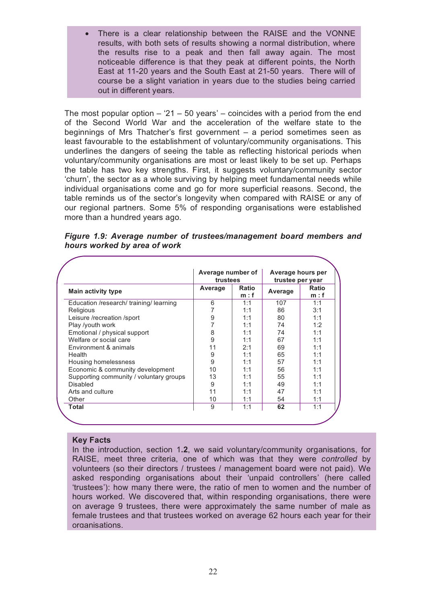There is a clear relationship between the RAISE and the VONNE results, with both sets of results showing a normal distribution, where the results rise to a peak and then fall away again. The most noticeable difference is that they peak at different points, the North East at 11-20 years and the South East at 21-50 years. There will of course be a slight variation in years due to the studies being carried out in different years.

The most popular option  $-21 - 50$  years' – coincides with a period from the end of the Second World War and the acceleration of the welfare state to the beginnings of Mrs Thatcher's first government – a period sometimes seen as least favourable to the establishment of voluntary/community organisations. This underlines the dangers of seeing the table as reflecting historical periods when voluntary/community organisations are most or least likely to be set up. Perhaps the table has two key strengths. First, it suggests voluntary/community sector 'churn', the sector as a whole surviving by helping meet fundamental needs while individual organisations come and go for more superficial reasons. Second, the table reminds us of the sector's longevity when compared with RAISE or any of our regional partners. Some 5% of responding organisations were established more than a hundred years ago.

| hours worked by area of work |                                                                     |  |
|------------------------------|---------------------------------------------------------------------|--|
|                              |                                                                     |  |
|                              | Average number of Average hours per<br>trustees<br>trustee per vear |  |

|  |                              | Figure 1.9: Average number of trustees/management board members and |  |  |
|--|------------------------------|---------------------------------------------------------------------|--|--|
|  | hours worked by area of work |                                                                     |  |  |

|                                         | Average number of<br>trustees |                      | Average hours per<br>trustee per year |                     |
|-----------------------------------------|-------------------------------|----------------------|---------------------------------------|---------------------|
| Main activity type                      | Average                       | <b>Ratio</b><br>m: f | Average                               | <b>Ratio</b><br>m:f |
| Education /research/ training/ learning | 6                             | 1:1                  | 107                                   | 1:1                 |
| Religious                               | 7                             | 1:1                  | 86                                    | 3:1                 |
| Leisure /recreation /sport              | 9                             | 1:1                  | 80                                    | 1:1                 |
| Play /youth work                        | 7                             | 1:1                  | 74                                    | 1:2                 |
| Emotional / physical support            | 8                             | 1:1                  | 74                                    | 1:1                 |
| Welfare or social care                  | 9                             | 1:1                  | 67                                    | 1:1                 |
| Environment & animals                   | 11                            | 2:1                  | 69                                    | 1:1                 |
| Health                                  | 9                             | 1:1                  | 65                                    | 1:1                 |
| Housing homelessness                    | 9                             | 1:1                  | 57                                    | 1:1                 |
| Economic & community development        | 10                            | 1:1                  | 56                                    | 1:1                 |
| Supporting community / voluntary groups | 13                            | 1:1                  | 55                                    | 1:1                 |
| Disabled                                | 9                             | 1:1                  | 49                                    | 1:1                 |
| Arts and culture                        | 11                            | 1:1                  | 47                                    | 1:1                 |
| Other                                   | 10                            | 1:1                  | 54                                    | 1:1                 |
| Total                                   | 9                             | 1:1                  | 62                                    | 1:1                 |

#### **Key Facts**

In the introduction, section 1**.2**, we said voluntary/community organisations, for RAISE, meet three criteria, one of which was that they were *controlled* by volunteers (so their directors / trustees / management board were not paid). We asked responding organisations about their 'unpaid controllers' (here called 'trustees'): how many there were, the ratio of men to women and the number of hours worked. We discovered that, within responding organisations, there were on average 9 trustees, there were approximately the same number of male as female trustees and that trustees worked on average 62 hours each year for their organisations.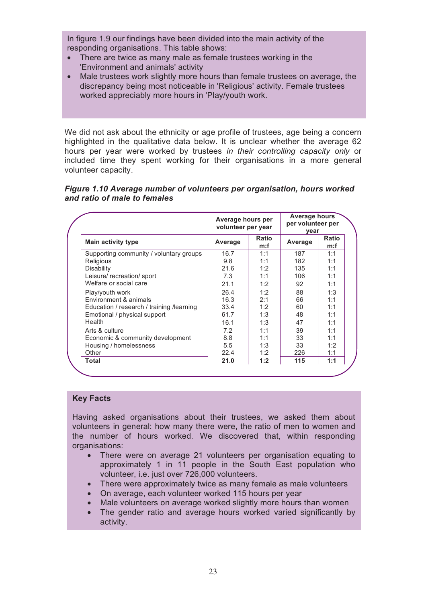In figure 1.9 our findings have been divided into the main activity of the responding organisations. This table shows:

- There are twice as many male as female trustees working in the 'Environment and animals' activity
- Male trustees work slightly more hours than female trustees on average, the discrepancy being most noticeable in 'Religious' activity. Female trustees worked appreciably more hours in 'Play/youth work.

We did not ask about the ethnicity or age profile of trustees, age being a concern highlighted in the qualitative data below. It is unclear whether the average 62 hours per year were worked by trustees *in their controlling capacity only* or included time they spent working for their organisations in a more general volunteer capacity.

#### *Figure 1.10 Average number of volunteers per organisation, hours worked and ratio of male to females*

|                                            | Average hours per<br>volunteer per year |                     | Average hours<br>per volunteer per<br>year |                     |
|--------------------------------------------|-----------------------------------------|---------------------|--------------------------------------------|---------------------|
| Main activity type                         | Average                                 | <b>Ratio</b><br>m:f | Average                                    | <b>Ratio</b><br>m:f |
| Supporting community / voluntary groups    | 16.7                                    | 1:1                 | 187                                        | 1:1                 |
| Religious                                  | 9.8                                     | 1:1                 | 182                                        | 1:1                 |
| Disability                                 | 21.6                                    | 1:2                 | 135                                        | 1:1                 |
| Leisure/ recreation/ sport                 | 7.3                                     | 1:1                 | 106                                        | 1:1                 |
| Welfare or social care                     | 21.1                                    | 1:2                 | 92                                         | 1:1                 |
| Play/youth work                            | 26.4                                    | 1:2                 | 88                                         | 1:3                 |
| <b>Environment &amp; animals</b>           | 16.3                                    | 2:1                 | 66                                         | 1:1                 |
| Education / research / training / learning | 33.4                                    | 1:2                 | 60                                         | 1:1                 |
| Emotional / physical support               | 61.7                                    | 1:3                 | 48                                         | 1:1                 |
| Health                                     | 16.1                                    | 1:3                 | 47                                         | 1:1                 |
| Arts & culture                             | 7.2                                     | 1:1                 | 39                                         | 1:1                 |
| Economic & community development           | 8.8                                     | 1:1                 | 33                                         | 1:1                 |
| Housing / homelessness                     | 5.5                                     | 1:3                 | 33                                         | 1:2                 |
| Other                                      | 22.4                                    | 1:2                 | 226                                        | 1:1                 |
| Total                                      | 21.0                                    | 1:2                 | 115                                        | 1:1                 |

#### **Key Facts**

Having asked organisations about their trustees, we asked them about volunteers in general: how many there were, the ratio of men to women and the number of hours worked. We discovered that, within responding organisations:

- There were on average 21 volunteers per organisation equating to approximately 1 in 11 people in the South East population who volunteer, i.e. just over 726,000 volunteers.
- There were approximately twice as many female as male volunteers
- On average, each volunteer worked 115 hours per year
- Male volunteers on average worked slightly more hours than women
- The gender ratio and average hours worked varied significantly by activity.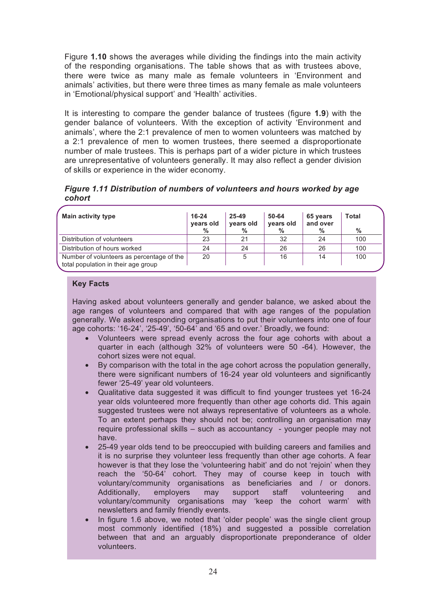Figure **1.10** shows the averages while dividing the findings into the main activity of the responding organisations. The table shows that as with trustees above, there were twice as many male as female volunteers in 'Environment and animals' activities, but there were three times as many female as male volunteers in 'Emotional/physical support' and 'Health' activities.

It is interesting to compare the gender balance of trustees (figure **1.9**) with the gender balance of volunteers. With the exception of activity 'Environment and animals', where the 2:1 prevalence of men to women volunteers was matched by a 2:1 prevalence of men to women trustees, there seemed a disproportionate number of male trustees. This is perhaps part of a wider picture in which trustees are unrepresentative of volunteers generally. It may also reflect a gender division of skills or experience in the wider economy.

*Figure 1.11 Distribution of numbers of volunteers and hours worked by age cohort* 

| Main activity type                                                               | 16-24<br>vears old<br>% | 25-49<br>years old<br>$\%$ | 50-64<br>years old<br>% | 65 years<br>and over<br>% | Total<br>% |
|----------------------------------------------------------------------------------|-------------------------|----------------------------|-------------------------|---------------------------|------------|
| Distribution of volunteers                                                       | 23                      | 21                         | 32                      | 24                        | 100        |
| Distribution of hours worked                                                     | 24                      | 24                         | 26                      | 26                        | 100        |
| Number of volunteers as percentage of the<br>total population in their age group | 20                      | 5                          | 16                      | 14                        | 100        |

#### **Key Facts**

Having asked about volunteers generally and gender balance, we asked about the age ranges of volunteers and compared that with age ranges of the population generally. We asked responding organisations to put their volunteers into one of four age cohorts: '16-24', '25-49', '50-64' and '65 and over.' Broadly, we found:

- Volunteers were spread evenly across the four age cohorts with about a quarter in each (although 32% of volunteers were 50 -64). However, the cohort sizes were not equal.
- By comparison with the total in the age cohort across the population generally, there were significant numbers of 16-24 year old volunteers and significantly fewer '25-49' year old volunteers.
- Qualitative data suggested it was difficult to find younger trustees yet 16-24 year olds volunteered more frequently than other age cohorts did. This again suggested trustees were not always representative of volunteers as a whole. To an extent perhaps they should not be; controlling an organisation may require professional skills – such as accountancy - younger people may not have.
- 25-49 year olds tend to be preoccupied with building careers and families and it is no surprise they volunteer less frequently than other age cohorts. A fear however is that they lose the 'volunteering habit' and do not 'rejoin' when they reach the '50-64' cohort. They may of course keep in touch with voluntary/community organisations as beneficiaries and / or donors. Additionally, employers may support staff volunteering and voluntary/community organisations may 'keep the cohort warm' with newsletters and family friendly events.
- In figure 1.6 above, we noted that 'older people' was the single client group most commonly identified (18%) and suggested a possible correlation between that and an arguably disproportionate preponderance of older volunteers.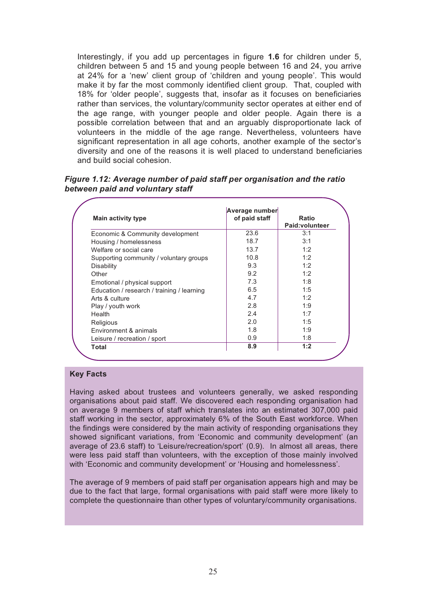Interestingly, if you add up percentages in figure **1.6** for children under 5, children between 5 and 15 and young people between 16 and 24, you arrive at 24% for a 'new' client group of 'children and young people'. This would make it by far the most commonly identified client group. That, coupled with 18% for 'older people', suggests that, insofar as it focuses on beneficiaries rather than services, the voluntary/community sector operates at either end of the age range, with younger people and older people. Again there is a possible correlation between that and an arguably disproportionate lack of volunteers in the middle of the age range. Nevertheless, volunteers have significant representation in all age cohorts, another example of the sector's diversity and one of the reasons it is well placed to understand beneficiaries and build social cohesion.

*Figure 1.12: Average number of paid staff per organisation and the ratio between paid and voluntary staff* 

| <b>Main activity type</b>                  | Average number<br>of paid staff | Ratio<br>Paid:volunteer |
|--------------------------------------------|---------------------------------|-------------------------|
| Economic & Community development           | 23.6                            | 3:1                     |
| Housing / homelessness                     | 18.7                            | 3:1                     |
| Welfare or social care                     | 13.7                            | 1:2                     |
| Supporting community / voluntary groups    | 10.8                            | 1:2                     |
| <b>Disability</b>                          | 9.3                             | 1:2                     |
| Other                                      | 9.2                             | 1:2                     |
| Emotional / physical support               | 7.3                             | 1:8                     |
| Education / research / training / learning | 6.5                             | 1:5                     |
| Arts & culture                             | 4.7                             | 1:2                     |
| Play / youth work                          | 2.8                             | 1:9                     |
| Health                                     | 2.4                             | 1:7                     |
| Religious                                  | 2.0                             | 1:5                     |
| Environment & animals                      | 1.8                             | 1:9                     |
| Leisure / recreation / sport               | 0.9                             | 1:8                     |
| Total                                      | 8.9                             | 1:2                     |

#### **Key Facts**

Having asked about trustees and volunteers generally, we asked responding organisations about paid staff. We discovered each responding organisation had on average 9 members of staff which translates into an estimated 307,000 paid staff working in the sector, approximately 6% of the South East workforce. When the findings were considered by the main activity of responding organisations they showed significant variations, from 'Economic and community development' (an average of 23.6 staff) to 'Leisure/recreation/sport' (0.9). In almost all areas, there were less paid staff than volunteers, with the exception of those mainly involved with 'Economic and community development' or 'Housing and homelessness'.

The average of 9 members of paid staff per organisation appears high and may be due to the fact that large, formal organisations with paid staff were more likely to complete the questionnaire than other types of voluntary/community organisations.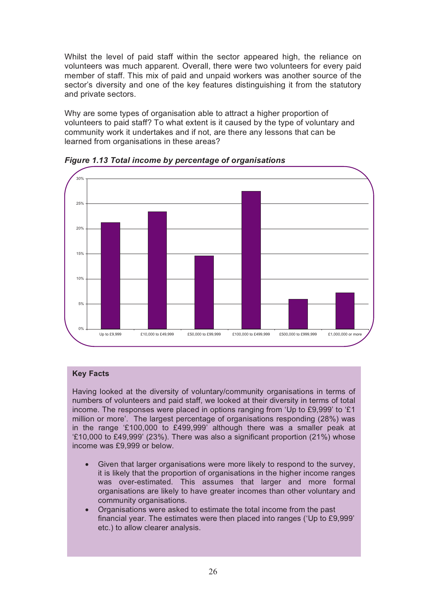Whilst the level of paid staff within the sector appeared high, the reliance on volunteers was much apparent. Overall, there were two volunteers for every paid member of staff. This mix of paid and unpaid workers was another source of the sector's diversity and one of the key features distinguishing it from the statutory and private sectors.

Why are some types of organisation able to attract a higher proportion of volunteers to paid staff? To what extent is it caused by the type of voluntary and community work it undertakes and if not, are there any lessons that can be learned from organisations in these areas?



*Figure 1.13 Total income by percentage of organisations* 

#### **Key Facts**

Having looked at the diversity of voluntary/community organisations in terms of numbers of volunteers and paid staff, we looked at their diversity in terms of total income. The responses were placed in options ranging from 'Up to £9,999' to '£1 million or more'. The largest percentage of organisations responding (28%) was in the range '£100,000 to £499,999' although there was a smaller peak at '£10,000 to £49,999' (23%). There was also a significant proportion (21%) whose income was £9,999 or below.

- Given that larger organisations were more likely to respond to the survey, it is likely that the proportion of organisations in the higher income ranges was over-estimated. This assumes that larger and more formal organisations are likely to have greater incomes than other voluntary and community organisations.
- Organisations were asked to estimate the total income from the past financial year. The estimates were then placed into ranges ('Up to £9,999' etc.) to allow clearer analysis.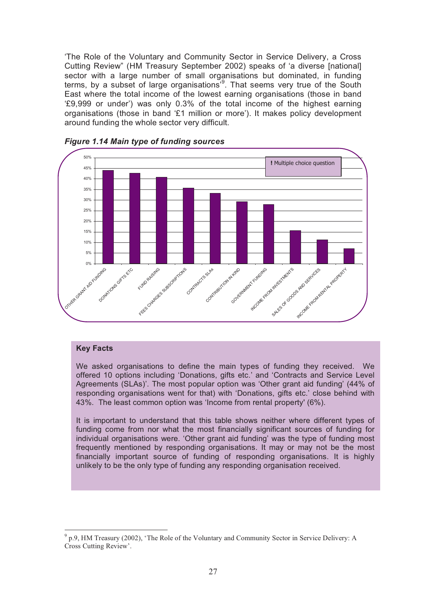'The Role of the Voluntary and Community Sector in Service Delivery, a Cross Cutting Review" (HM Treasury September 2002) speaks of 'a diverse [national] sector with a large number of small organisations but dominated, in funding terms, by a subset of large organisations<sup>3</sup>. That seems very true of the South East where the total income of the lowest earning organisations (those in band '£9,999 or under') was only 0.3% of the total income of the highest earning organisations (those in band '£1 million or more'). It makes policy development around funding the whole sector very difficult.



#### *Figure 1.14 Main type of funding sources*

#### **Key Facts**

We asked organisations to define the main types of funding they received. We offered 10 options including 'Donations, gifts etc.' and 'Contracts and Service Level Agreements (SLAs)'. The most popular option was 'Other grant aid funding' (44% of responding organisations went for that) with 'Donations, gifts etc.' close behind with 43%. The least common option was 'Income from rental property' (6%).

It is important to understand that this table shows neither where different types of funding come from nor what the most financially significant sources of funding for individual organisations were. 'Other grant aid funding' was the type of funding most frequently mentioned by responding organisations. It may or may not be the most financially important source of funding of responding organisations. It is highly unlikely to be the only type of funding any responding organisation received.

 $\overline{a}$ <sup>9</sup> p.9, HM Treasury (2002), 'The Role of the Voluntary and Community Sector in Service Delivery: A Cross Cutting Review'.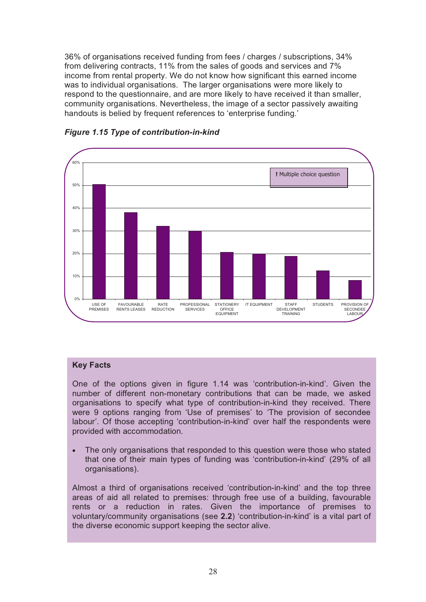36% of organisations received funding from fees / charges / subscriptions, 34% from delivering contracts, 11% from the sales of goods and services and 7% income from rental property. We do not know how significant this earned income was to individual organisations. The larger organisations were more likely to respond to the questionnaire, and are more likely to have received it than smaller, community organisations. Nevertheless, the image of a sector passively awaiting handouts is belied by frequent references to 'enterprise funding.'



*Figure 1.15 Type of contribution-in-kind* 

#### **Key Facts**

One of the options given in figure 1.14 was 'contribution-in-kind'. Given the number of different non-monetary contributions that can be made, we asked organisations to specify what type of contribution-in-kind they received. There were 9 options ranging from 'Use of premises' to 'The provision of secondee labour'. Of those accepting 'contribution-in-kind' over half the respondents were provided with accommodation.

The only organisations that responded to this question were those who stated that one of their main types of funding was 'contribution-in-kind' (29% of all organisations).

Almost a third of organisations received 'contribution-in-kind' and the top three areas of aid all related to premises: through free use of a building, favourable rents or a reduction in rates. Given the importance of premises to voluntary/community organisations (see **2.2**) 'contribution-in-kind' is a vital part of the diverse economic support keeping the sector alive.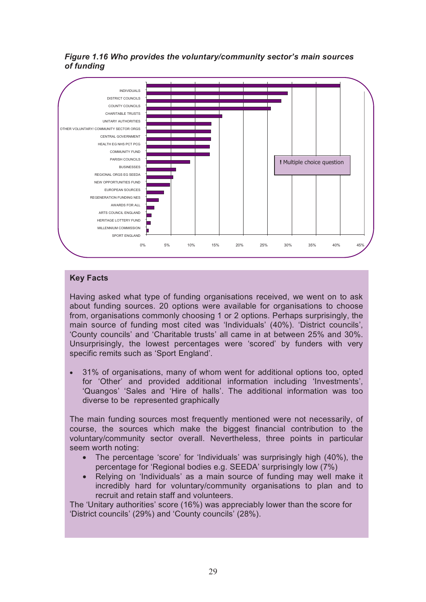



# **Key Facts**

Having asked what type of funding organisations received, we went on to ask about funding sources. 20 options were available for organisations to choose from, organisations commonly choosing 1 or 2 options. Perhaps surprisingly, the main source of funding most cited was 'Individuals' (40%). 'District councils', 'County councils' and 'Charitable trusts' all came in at between 25% and 30%. Unsurprisingly, the lowest percentages were 'scored' by funders with very specific remits such as 'Sport England'.

• 31% of organisations, many of whom went for additional options too, opted for 'Other' and provided additional information including 'Investments', 'Quangos' 'Sales and 'Hire of halls'. The additional information was too diverse to be represented graphically

The main funding sources most frequently mentioned were not necessarily, of course, the sources which make the biggest financial contribution to the voluntary/community sector overall. Nevertheless, three points in particular seem worth noting:

- The percentage 'score' for 'Individuals' was surprisingly high (40%), the percentage for 'Regional bodies e.g. SEEDA' surprisingly low (7%)
- Relying on 'Individuals' as a main source of funding may well make it incredibly hard for voluntary/community organisations to plan and to recruit and retain staff and volunteers.

The 'Unitary authorities' score (16%) was appreciably lower than the score for 'District councils' (29%) and 'County councils' (28%).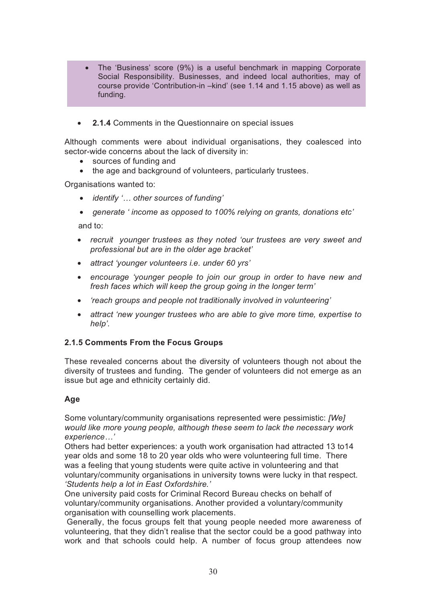- The 'Business' score (9%) is a useful benchmark in mapping Corporate Social Responsibility. Businesses, and indeed local authorities, may of course provide 'Contribution-in –kind' (see 1.14 and 1.15 above) as well as funding.
- **2.1.4** Comments in the Questionnaire on special issues

Although comments were about individual organisations, they coalesced into sector-wide concerns about the lack of diversity in:

- sources of funding and
- the age and background of volunteers, particularly trustees.

Organisations wanted to:

- *identify '… other sources of funding'*
- *generate ' income as opposed to 100% relying on grants, donations etc'*

and to:

- *recruit younger trustees as they noted 'our trustees are very sweet and professional but are in the older age bracket'*
- *attract 'younger volunteers i.e. under 60 yrs'*
- *encourage 'younger people to join our group in order to have new and fresh faces which will keep the group going in the longer term'*
- *'reach groups and people not traditionally involved in volunteering'*
- *attract 'new younger trustees who are able to give more time, expertise to help'.*

#### **2.1.5 Comments From the Focus Groups**

These revealed concerns about the diversity of volunteers though not about the diversity of trustees and funding. The gender of volunteers did not emerge as an issue but age and ethnicity certainly did.

#### **Age**

Some voluntary/community organisations represented were pessimistic: *[We] would like more young people, although these seem to lack the necessary work experience…'* 

Others had better experiences: a youth work organisation had attracted 13 to14 year olds and some 18 to 20 year olds who were volunteering full time. There was a feeling that young students were quite active in volunteering and that voluntary/community organisations in university towns were lucky in that respect. *'Students help a lot in East Oxfordshire.'* 

One university paid costs for Criminal Record Bureau checks on behalf of voluntary/community organisations. Another provided a voluntary/community organisation with counselling work placements.

 Generally, the focus groups felt that young people needed more awareness of volunteering, that they didn't realise that the sector could be a good pathway into work and that schools could help. A number of focus group attendees now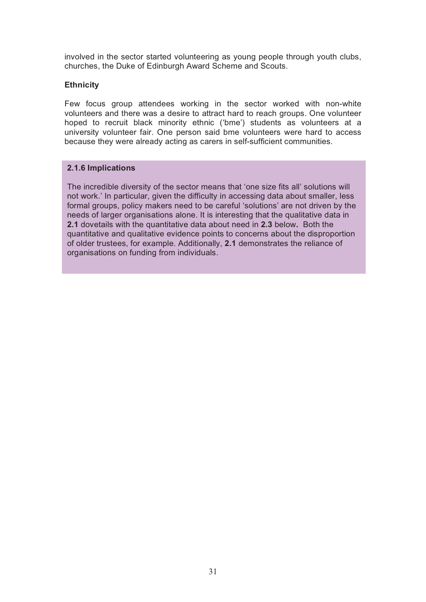involved in the sector started volunteering as young people through youth clubs, churches, the Duke of Edinburgh Award Scheme and Scouts.

#### **Ethnicity**

Few focus group attendees working in the sector worked with non-white volunteers and there was a desire to attract hard to reach groups. One volunteer hoped to recruit black minority ethnic ('bme') students as volunteers at a university volunteer fair. One person said bme volunteers were hard to access because they were already acting as carers in self-sufficient communities.

#### **2.1.6 Implications**

The incredible diversity of the sector means that 'one size fits all' solutions will not work.' In particular, given the difficulty in accessing data about smaller, less formal groups, policy makers need to be careful 'solutions' are not driven by the needs of larger organisations alone. It is interesting that the qualitative data in **2.1** dovetails with the quantitative data about need in **2.3** below**.** Both the quantitative and qualitative evidence points to concerns about the disproportion of older trustees, for example. Additionally, **2.1** demonstrates the reliance of organisations on funding from individuals.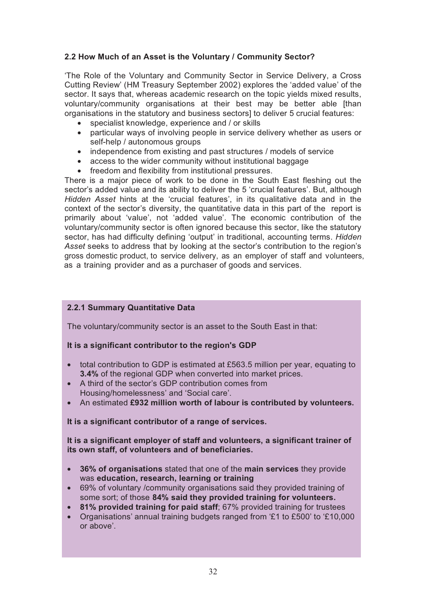# **2.2 How Much of an Asset is the Voluntary / Community Sector?**

'The Role of the Voluntary and Community Sector in Service Delivery, a Cross Cutting Review' (HM Treasury September 2002) explores the 'added value' of the sector. It says that, whereas academic research on the topic yields mixed results, voluntary/community organisations at their best may be better able [than organisations in the statutory and business sectors] to deliver 5 crucial features:

- specialist knowledge, experience and / or skills
- particular ways of involving people in service delivery whether as users or self-help / autonomous groups
- independence from existing and past structures / models of service
- access to the wider community without institutional baggage
- freedom and flexibility from institutional pressures.

There is a major piece of work to be done in the South East fleshing out the sector's added value and its ability to deliver the 5 'crucial features'. But, although *Hidden Asset* hints at the 'crucial features', in its qualitative data and in the context of the sector's diversity, the quantitative data in this part of the report is primarily about 'value', not 'added value'. The economic contribution of the voluntary/community sector is often ignored because this sector, like the statutory sector, has had difficulty defining 'output' in traditional, accounting terms. *Hidden Asset* seeks to address that by looking at the sector's contribution to the region's gross domestic product, to service delivery, as an employer of staff and volunteers, as a training provider and as a purchaser of goods and services.

### **2.2.1 Summary Quantitative Data**

The voluntary/community sector is an asset to the South East in that:

#### **It is a significant contributor to the region's GDP**

- total contribution to GDP is estimated at £563.5 million per year, equating to **3.4%** of the regional GDP when converted into market prices.
- A third of the sector's GDP contribution comes from Housing/homelessness' and 'Social care'.
- An estimated **£932 million worth of labour is contributed by volunteers.**

#### **It is a significant contributor of a range of services.**

#### **It is a significant employer of staff and volunteers, a significant trainer of its own staff, of volunteers and of beneficiaries.**

- **36% of organisations** stated that one of the **main services** they provide was **education, research, learning or training**
- 69% of voluntary /community organisations said they provided training of some sort; of those **84% said they provided training for volunteers.**
- **81% provided training for paid staff**; 67% provided training for trustees
- Organisations' annual training budgets ranged from '£1 to £500' to '£10,000 or above'.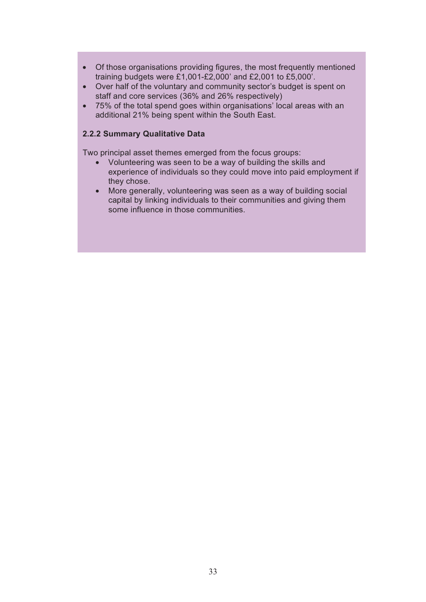- Of those organisations providing figures, the most frequently mentioned training budgets were £1,001-£2,000' and £2,001 to £5,000'.
- Over half of the voluntary and community sector's budget is spent on staff and core services (36% and 26% respectively)
- 75% of the total spend goes within organisations' local areas with an additional 21% being spent within the South East.

#### **2.2.2 Summary Qualitative Data**

Two principal asset themes emerged from the focus groups:

- Volunteering was seen to be a way of building the skills and experience of individuals so they could move into paid employment if they chose.
- More generally, volunteering was seen as a way of building social capital by linking individuals to their communities and giving them some influence in those communities.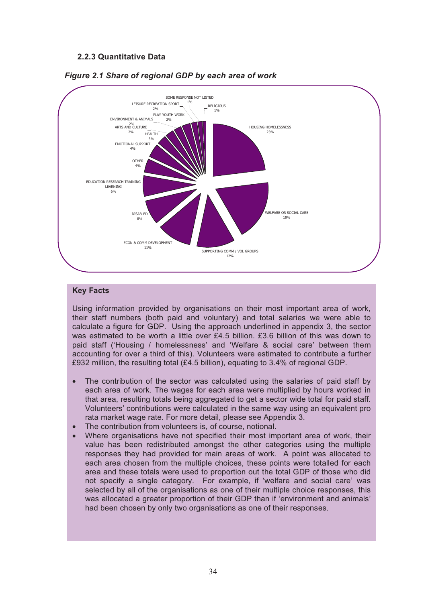#### **2.2.3 Quantitative Data**





#### **Key Facts**

Using information provided by organisations on their most important area of work, their staff numbers (both paid and voluntary) and total salaries we were able to calculate a figure for GDP. Using the approach underlined in appendix 3, the sector was estimated to be worth a little over £4.5 billion. £3.6 billion of this was down to paid staff ('Housing / homelessness' and 'Welfare & social care' between them accounting for over a third of this). Volunteers were estimated to contribute a further £932 million, the resulting total (£4.5 billion), equating to 3.4% of regional GDP.

- The contribution of the sector was calculated using the salaries of paid staff by each area of work. The wages for each area were multiplied by hours worked in that area, resulting totals being aggregated to get a sector wide total for paid staff. Volunteers' contributions were calculated in the same way using an equivalent pro rata market wage rate. For more detail, please see Appendix 3.
- The contribution from volunteers is, of course, notional.
- Where organisations have not specified their most important area of work, their value has been redistributed amongst the other categories using the multiple responses they had provided for main areas of work. A point was allocated to each area chosen from the multiple choices, these points were totalled for each area and these totals were used to proportion out the total GDP of those who did not specify a single category. For example, if 'welfare and social care' was selected by all of the organisations as one of their multiple choice responses, this was allocated a greater proportion of their GDP than if 'environment and animals' had been chosen by only two organisations as one of their responses.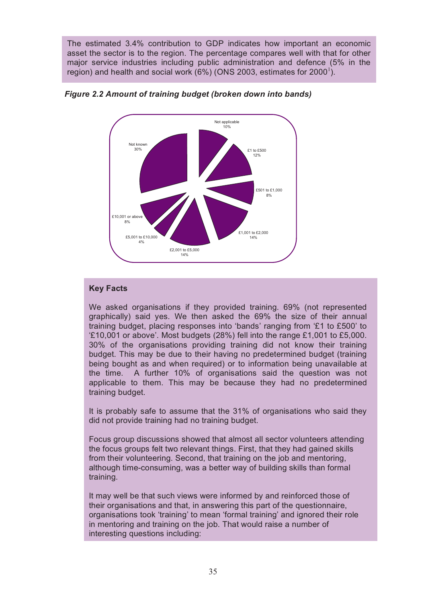The estimated 3.4% contribution to GDP indicates how important an economic asset the sector is to the region. The percentage compares well with that for other major service industries including public administration and defence (5% in the region) and health and social work (6%) (ONS 2003, estimates for 2000<sup>1</sup>).



*Figure 2.2 Amount of training budget (broken down into bands)* 

#### **Key Facts**

We asked organisations if they provided training. 69% (not represented graphically) said yes. We then asked the 69% the size of their annual training budget, placing responses into 'bands' ranging from '£1 to £500' to '£10,001 or above'. Most budgets (28%) fell into the range £1,001 to £5,000. 30% of the organisations providing training did not know their training budget. This may be due to their having no predetermined budget (training being bought as and when required) or to information being unavailable at the time. A further 10% of organisations said the question was not applicable to them. This may be because they had no predetermined training budget.

It is probably safe to assume that the 31% of organisations who said they did not provide training had no training budget.

Focus group discussions showed that almost all sector volunteers attending the focus groups felt two relevant things. First, that they had gained skills from their volunteering. Second, that training on the job and mentoring, although time-consuming, was a better way of building skills than formal training.

It may well be that such views were informed by and reinforced those of their organisations and that, in answering this part of the questionnaire, organisations took 'training' to mean 'formal training' and ignored their role in mentoring and training on the job. That would raise a number of interesting questions including: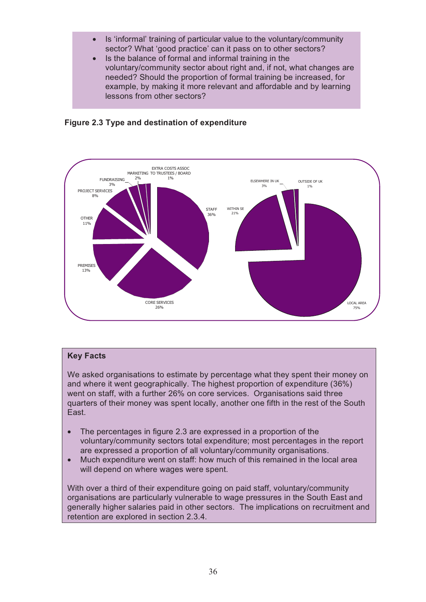- Is 'informal' training of particular value to the voluntary/community sector? What 'good practice' can it pass on to other sectors?
- Is the balance of formal and informal training in the voluntary/community sector about right and, if not, what changes are needed? Should the proportion of formal training be increased, for example, by making it more relevant and affordable and by learning lessons from other sectors?





### **Key Facts**

We asked organisations to estimate by percentage what they spent their money on and where it went geographically. The highest proportion of expenditure (36%) went on staff, with a further 26% on core services. Organisations said three quarters of their money was spent locally, another one fifth in the rest of the South East.

- The percentages in figure 2.3 are expressed in a proportion of the voluntary/community sectors total expenditure; most percentages in the report are expressed a proportion of all voluntary/community organisations.
- Much expenditure went on staff: how much of this remained in the local area will depend on where wages were spent.

With over a third of their expenditure going on paid staff, voluntary/community organisations are particularly vulnerable to wage pressures in the South East and generally higher salaries paid in other sectors. The implications on recruitment and retention are explored in section 2.3.4.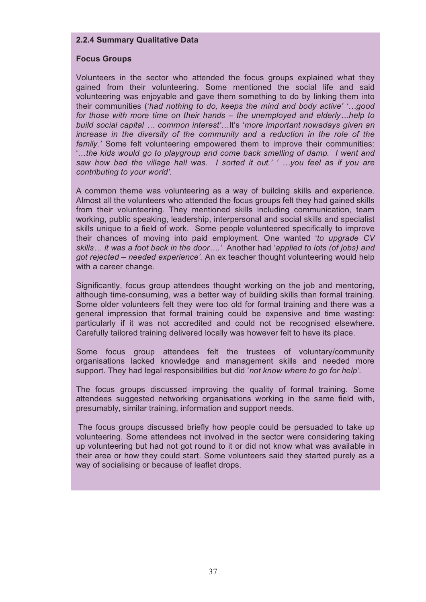#### **2.2.4 Summary Qualitative Data**

#### **Focus Groups**

Volunteers in the sector who attended the focus groups explained what they gained from their volunteering. Some mentioned the social life and said volunteering was enjoyable and gave them something to do by linking them into their communities ('*had nothing to do, keeps the mind and body active' '…good for those with more time on their hands – the unemployed and elderly…help to build social capital … common interest'…*It's '*more important nowadays given an increase in the diversity of the community and a reduction in the role of the family.'* Some felt volunteering empowered them to improve their communities: '…*the kids would go to playgroup and come back smelling of damp. I went and saw how bad the village hall was. I sorted it out.' ' …you feel as if you are contributing to your world'.* 

A common theme was volunteering as a way of building skills and experience. Almost all the volunteers who attended the focus groups felt they had gained skills from their volunteering. They mentioned skills including communication, team working, public speaking, leadership, interpersonal and social skills and specialist skills unique to a field of work. Some people volunteered specifically to improve their chances of moving into paid employment. One wanted '*to upgrade CV skills… it was a foot back in the door….'* Another had '*applied to lots (of jobs) and got rejected – needed experience'.* An ex teacher thought volunteering would help with a career change.

Significantly, focus group attendees thought working on the job and mentoring, although time-consuming, was a better way of building skills than formal training. Some older volunteers felt they were too old for formal training and there was a general impression that formal training could be expensive and time wasting: particularly if it was not accredited and could not be recognised elsewhere. Carefully tailored training delivered locally was however felt to have its place.

Some focus group attendees felt the trustees of voluntary/community organisations lacked knowledge and management skills and needed more support. They had legal responsibilities but did '*not know where to go for help'.* 

The focus groups discussed improving the quality of formal training. Some attendees suggested networking organisations working in the same field with, presumably, similar training, information and support needs.

 The focus groups discussed briefly how people could be persuaded to take up volunteering. Some attendees not involved in the sector were considering taking up volunteering but had not got round to it or did not know what was available in their area or how they could start. Some volunteers said they started purely as a way of socialising or because of leaflet drops.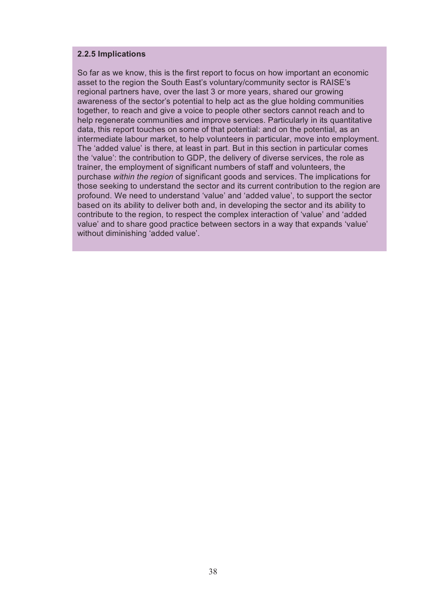#### **2.2.5 Implications**

So far as we know, this is the first report to focus on how important an economic asset to the region the South East's voluntary/community sector is RAISE's regional partners have, over the last 3 or more years, shared our growing awareness of the sector's potential to help act as the glue holding communities together, to reach and give a voice to people other sectors cannot reach and to help regenerate communities and improve services. Particularly in its quantitative data, this report touches on some of that potential: and on the potential, as an intermediate labour market, to help volunteers in particular, move into employment. The 'added value' is there, at least in part. But in this section in particular comes the 'value': the contribution to GDP, the delivery of diverse services, the role as trainer, the employment of significant numbers of staff and volunteers, the purchase *within the region* of significant goods and services. The implications for those seeking to understand the sector and its current contribution to the region are profound. We need to understand 'value' and 'added value', to support the sector based on its ability to deliver both and, in developing the sector and its ability to contribute to the region, to respect the complex interaction of 'value' and 'added value' and to share good practice between sectors in a way that expands 'value' without diminishing 'added value'.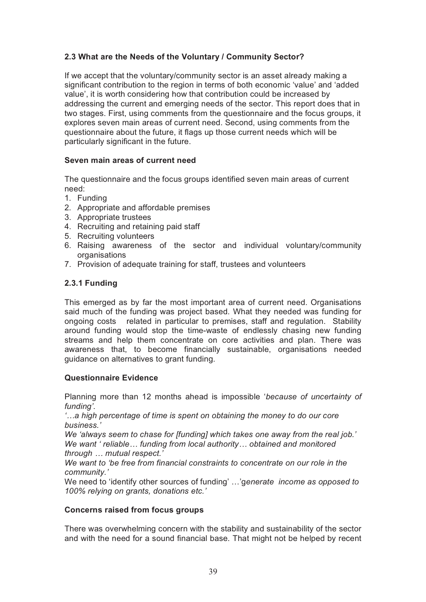# **2.3 What are the Needs of the Voluntary / Community Sector?**

If we accept that the voluntary/community sector is an asset already making a significant contribution to the region in terms of both economic 'value' and 'added value', it is worth considering how that contribution could be increased by addressing the current and emerging needs of the sector. This report does that in two stages. First, using comments from the questionnaire and the focus groups, it explores seven main areas of current need. Second, using comments from the questionnaire about the future, it flags up those current needs which will be particularly significant in the future.

#### **Seven main areas of current need**

The questionnaire and the focus groups identified seven main areas of current need:

- 1. Funding
- 2. Appropriate and affordable premises
- 3. Appropriate trustees
- 4. Recruiting and retaining paid staff
- 5. Recruiting volunteers
- 6. Raising awareness of the sector and individual voluntary/community organisations
- 7. Provision of adequate training for staff, trustees and volunteers

#### **2.3.1 Funding**

This emerged as by far the most important area of current need. Organisations said much of the funding was project based. What they needed was funding for ongoing costs related in particular to premises, staff and regulation. Stability around funding would stop the time-waste of endlessly chasing new funding streams and help them concentrate on core activities and plan. There was awareness that, to become financially sustainable, organisations needed guidance on alternatives to grant funding.

#### **Questionnaire Evidence**

Planning more than 12 months ahead is impossible '*because of uncertainty of funding'*.

*'…a high percentage of time is spent on obtaining the money to do our core business.'* 

*We 'always seem to chase for [funding] which takes one away from the real job.' We want ' reliable… funding from local authority… obtained and monitored through … mutual respect.'* 

*We want to 'be free from financial constraints to concentrate on our role in the community.'* 

We need to 'identify other sources of funding' …'g*enerate income as opposed to 100% relying on grants, donations etc.'*

#### **Concerns raised from focus groups**

There was overwhelming concern with the stability and sustainability of the sector and with the need for a sound financial base. That might not be helped by recent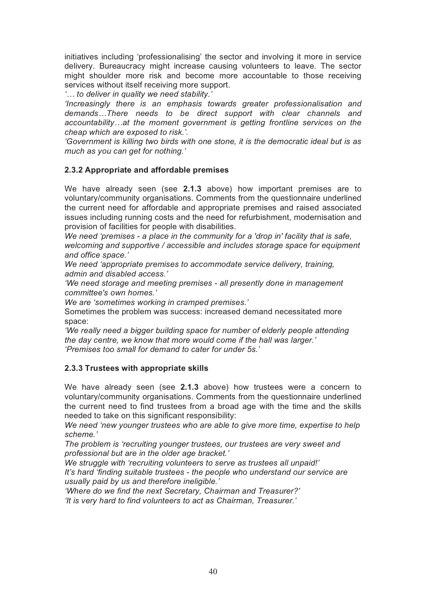initiatives including 'professionalising' the sector and involving it more in service delivery. Bureaucracy might increase causing volunteers to leave. The sector might shoulder more risk and become more accountable to those receiving services without itself receiving more support.

*'… to deliver in quality we need stability.'* 

*'Increasingly there is an emphasis towards greater professionalisation and demands…There needs to be direct support with clear channels and accountability…at the moment government is getting frontline services on the cheap which are exposed to risk.'.* 

*'Government is killing two birds with one stone, it is the democratic ideal but is as much as you can get for nothing.'*

### **2.3.2 Appropriate and affordable premises**

We have already seen (see **2.1.3** above) how important premises are to voluntary/community organisations. Comments from the questionnaire underlined the current need for affordable and appropriate premises and raised associated issues including running costs and the need for refurbishment, modernisation and provision of facilities for people with disabilities.

*We need 'premises - a place in the community for a 'drop in' facility that is safe, welcoming and supportive / accessible and includes storage space for equipment and office space.'* 

*We need 'appropriate premises to accommodate service delivery, training, admin and disabled access.'* 

*'We need storage and meeting premises - all presently done in management committee's own homes.'* 

*We are 'sometimes working in cramped premises.'* 

Sometimes the problem was success: increased demand necessitated more space:

*'We really need a bigger building space for number of elderly people attending the day centre, we know that more would come if the hall was larger.' 'Premises too small for demand to cater for under 5s.'* 

### **2.3.3 Trustees with appropriate skills**

We have already seen (see **2.1.3** above) how trustees were a concern to voluntary/community organisations. Comments from the questionnaire underlined the current need to find trustees from a broad age with the time and the skills needed to take on this significant responsibility:

*We need 'new younger trustees who are able to give more time, expertise to help scheme.'* 

*The problem is 'recruiting younger trustees, our trustees are very sweet and professional but are in the older age bracket.'* 

*We struggle with 'recruiting volunteers to serve as trustees all unpaid!'* 

*It's hard 'finding suitable trustees - the people who understand our service are usually paid by us and therefore ineligible.'* 

*'Where do we find the next Secretary, Chairman and Treasurer?' 'It is very hard to find volunteers to act as Chairman, Treasurer.'*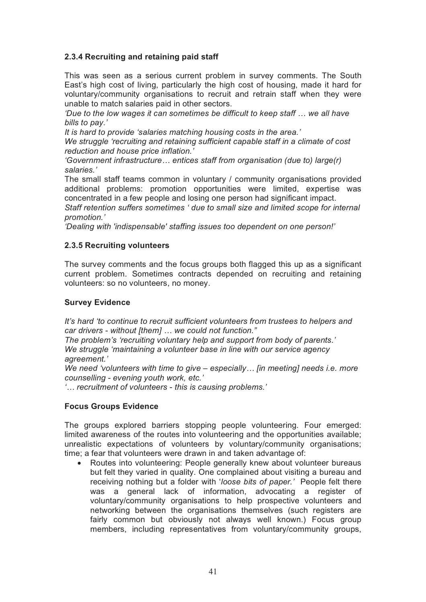# **2.3.4 Recruiting and retaining paid staff**

This was seen as a serious current problem in survey comments. The South East's high cost of living, particularly the high cost of housing, made it hard for voluntary/community organisations to recruit and retrain staff when they were unable to match salaries paid in other sectors.

*'Due to the low wages it can sometimes be difficult to keep staff … we all have bills to pay.'* 

*It is hard to provide 'salaries matching housing costs in the area.'* 

*We struggle 'recruiting and retaining sufficient capable staff in a climate of cost reduction and house price inflation.'* 

*'Government infrastructure… entices staff from organisation (due to) large(r) salaries.'*

The small staff teams common in voluntary / community organisations provided additional problems: promotion opportunities were limited, expertise was concentrated in a few people and losing one person had significant impact.

*Staff retention suffers sometimes ' due to small size and limited scope for internal promotion.'* 

*'Dealing with 'indispensable' staffing issues too dependent on one person!'* 

#### **2.3.5 Recruiting volunteers**

The survey comments and the focus groups both flagged this up as a significant current problem. Sometimes contracts depended on recruiting and retaining volunteers: so no volunteers, no money.

#### **Survey Evidence**

*It's hard 'to continue to recruit sufficient volunteers from trustees to helpers and car drivers - without [them] … we could not function."* 

*The problem's 'recruiting voluntary help and support from body of parents.' We struggle 'maintaining a volunteer base in line with our service agency agreement.'* 

*We need 'volunteers with time to give – especially… [in meeting] needs i.e. more counselling - evening youth work, etc.'* 

*'… recruitment of volunteers - this is causing problems.'* 

#### **Focus Groups Evidence**

The groups explored barriers stopping people volunteering. Four emerged: limited awareness of the routes into volunteering and the opportunities available; unrealistic expectations of volunteers by voluntary/community organisations; time; a fear that volunteers were drawn in and taken advantage of:

• Routes into volunteering: People generally knew about volunteer bureaus but felt they varied in quality. One complained about visiting a bureau and receiving nothing but a folder with '*loose bits of paper.'* People felt there was a general lack of information, advocating a register of voluntary/community organisations to help prospective volunteers and networking between the organisations themselves (such registers are fairly common but obviously not always well known.) Focus group members, including representatives from voluntary/community groups,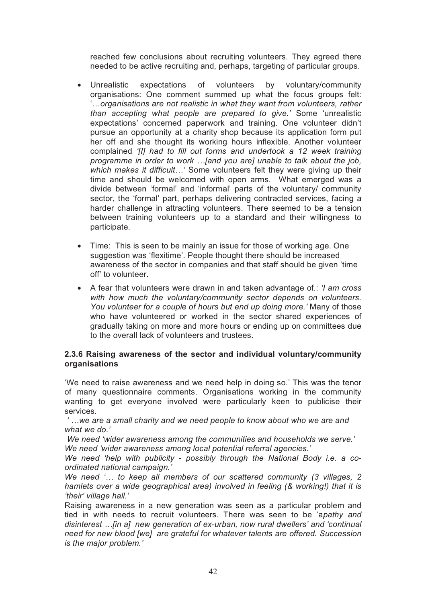reached few conclusions about recruiting volunteers. They agreed there needed to be active recruiting and, perhaps, targeting of particular groups.

- Unrealistic expectations of volunteers by voluntary/community organisations: One comment summed up what the focus groups felt: '…*organisations are not realistic in what they want from volunteers, rather than accepting what people are prepared to give.'* Some 'unrealistic expectations' concerned paperwork and training. One volunteer didn't pursue an opportunity at a charity shop because its application form put her off and she thought its working hours inflexible. Another volunteer complained *'[I] had to fill out forms and undertook a 12 week training programme in order to work …[and you are] unable to talk about the job, which makes it difficult…'* Some volunteers felt they were giving up their time and should be welcomed with open arms. What emerged was a divide between 'formal' and 'informal' parts of the voluntary/ community sector, the 'formal' part, perhaps delivering contracted services, facing a harder challenge in attracting volunteers. There seemed to be a tension between training volunteers up to a standard and their willingness to participate.
- Time: This is seen to be mainly an issue for those of working age. One suggestion was 'flexitime'. People thought there should be increased awareness of the sector in companies and that staff should be given 'time off' to volunteer.
- A fear that volunteers were drawn in and taken advantage of.: *'I am cross with how much the voluntary/community sector depends on volunteers. You volunteer for a couple of hours but end up doing more.'* Many of those who have volunteered or worked in the sector shared experiences of gradually taking on more and more hours or ending up on committees due to the overall lack of volunteers and trustees.

#### **2.3.6 Raising awareness of the sector and individual voluntary/community organisations**

'We need to raise awareness and we need help in doing so.' This was the tenor of many questionnaire comments. Organisations working in the community wanting to get everyone involved were particularly keen to publicise their services.

 *' …we are a small charity and we need people to know about who we are and what we do.'* 

 *We need 'wider awareness among the communities and households we serve.' We need 'wider awareness among local potential referral agencies.'* 

*We need 'help with publicity - possibly through the National Body i.e. a coordinated national campaign.'*

*We need '… to keep all members of our scattered community (3 villages, 2 hamlets over a wide geographical area) involved in feeling (& working!) that it is 'their' village hall.'* 

Raising awareness in a new generation was seen as a particular problem and tied in with needs to recruit volunteers. There was seen to be 'a*pathy and disinterest …[in a] new generation of ex-urban, now rural dwellers' and 'continual need for new blood [we] are grateful for whatever talents are offered. Succession is the major problem.'*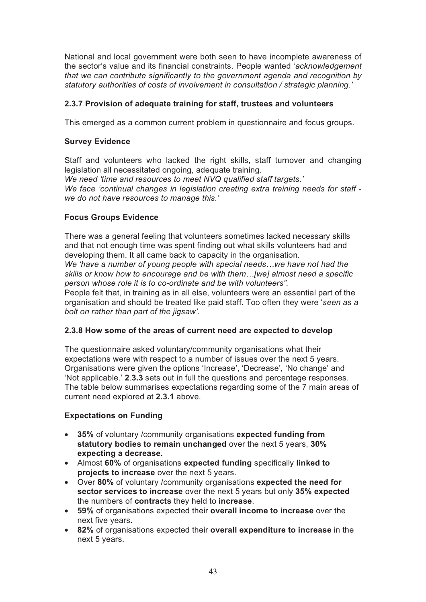National and local government were both seen to have incomplete awareness of the sector's value and its financial constraints. People wanted '*acknowledgement that we can contribute significantly to the government agenda and recognition by statutory authorities of costs of involvement in consultation / strategic planning.'*

### **2.3.7 Provision of adequate training for staff, trustees and volunteers**

This emerged as a common current problem in questionnaire and focus groups.

#### **Survey Evidence**

Staff and volunteers who lacked the right skills, staff turnover and changing legislation all necessitated ongoing, adequate training. *We need 'time and resources to meet NVQ qualified staff targets.' We face 'continual changes in legislation creating extra training needs for staff we do not have resources to manage this.'* 

#### **Focus Groups Evidence**

There was a general feeling that volunteers sometimes lacked necessary skills and that not enough time was spent finding out what skills volunteers had and developing them. It all came back to capacity in the organisation.

*We 'have a number of young people with special needs…we have not had the skills or know how to encourage and be with them…[we] almost need a specific person whose role it is to co-ordinate and be with volunteers".* 

People felt that, in training as in all else, volunteers were an essential part of the organisation and should be treated like paid staff. Too often they were '*seen as a bolt on rather than part of the jigsaw'.* 

#### **2.3.8 How some of the areas of current need are expected to develop**

The questionnaire asked voluntary/community organisations what their expectations were with respect to a number of issues over the next 5 years. Organisations were given the options 'Increase', 'Decrease', 'No change' and 'Not applicable.' **2**.**3.3** sets out in full the questions and percentage responses. The table below summarises expectations regarding some of the 7 main areas of current need explored at **2.3.1** above.

### **Expectations on Funding**

- **35%** of voluntary /community organisations **expected funding from statutory bodies to remain unchanged** over the next 5 years, **30% expecting a decrease.**
- Almost **60%** of organisations **expected funding** specifically **linked to projects to increase** over the next 5 years.
- Over **80%** of voluntary /community organisations **expected the need for sector services to increase** over the next 5 years but only **35% expected**  the numbers of **contracts** they held to **increase**.
- **59%** of organisations expected their **overall income to increase** over the next five years.
- **82%** of organisations expected their **overall expenditure to increase** in the next 5 years.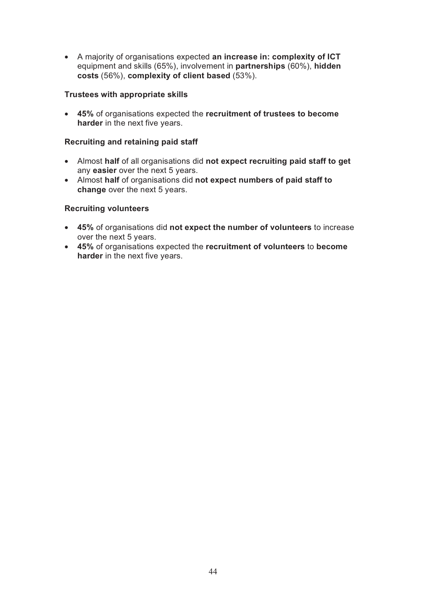• A majority of organisations expected **an increase in: complexity of ICT** equipment and skills (65%), involvement in **partnerships** (60%), **hidden costs** (56%), **complexity of client based** (53%).

#### **Trustees with appropriate skills**

• **45%** of organisations expected the **recruitment of trustees to become harder** in the next five years.

#### **Recruiting and retaining paid staff**

- Almost **half** of all organisations did **not expect recruiting paid staff to get**  any **easier** over the next 5 years.
- Almost **half** of organisations did **not expect numbers of paid staff to change** over the next 5 years.

#### **Recruiting volunteers**

- **45%** of organisations did **not expect the number of volunteers** to increase over the next 5 years.
- **45%** of organisations expected the **recruitment of volunteers** to **become harder** in the next five years.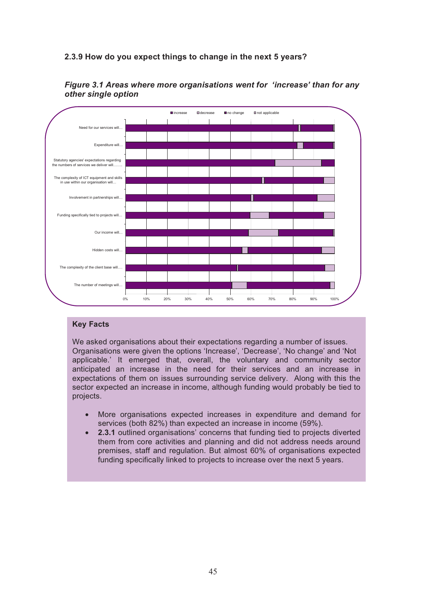## **2.3.9 How do you expect things to change in the next 5 years?**



*Figure 3.1 Areas where more organisations went for 'increase' than for any other single option*

#### **Key Facts**

We asked organisations about their expectations regarding a number of issues. Organisations were given the options 'Increase', 'Decrease', 'No change' and 'Not applicable.' It emerged that, overall, the voluntary and community sector anticipated an increase in the need for their services and an increase in expectations of them on issues surrounding service delivery. Along with this the sector expected an increase in income, although funding would probably be tied to projects.

- More organisations expected increases in expenditure and demand for services (both 82%) than expected an increase in income (59%).
- **2.3.1** outlined organisations' concerns that funding tied to projects diverted them from core activities and planning and did not address needs around premises, staff and regulation. But almost 60% of organisations expected funding specifically linked to projects to increase over the next 5 years.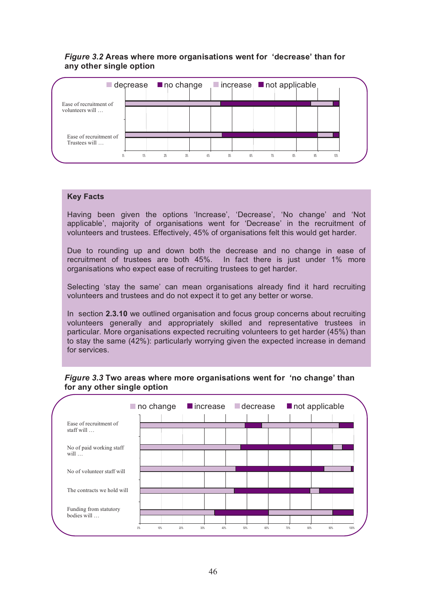#### *Figure 3.2* **Areas where more organisations went for 'decrease' than for any other single option**



#### **Key Facts**

Having been given the options 'Increase', 'Decrease', 'No change' and 'Not applicable', majority of organisations went for 'Decrease' in the recruitment of volunteers and trustees. Effectively, 45% of organisations felt this would get harder.

Due to rounding up and down both the decrease and no change in ease of recruitment of trustees are both 45%. In fact there is just under 1% more organisations who expect ease of recruiting trustees to get harder.

Selecting 'stay the same' can mean organisations already find it hard recruiting volunteers and trustees and do not expect it to get any better or worse.

In section **2.3.10** we outlined organisation and focus group concerns about recruiting volunteers generally and appropriately skilled and representative trustees in particular. More organisations expected recruiting volunteers to get harder (45%) than to stay the same (42%): particularly worrying given the expected increase in demand for services.

#### *Figure 3.3* **Two areas where more organisations went for 'no change' than for any other single option**

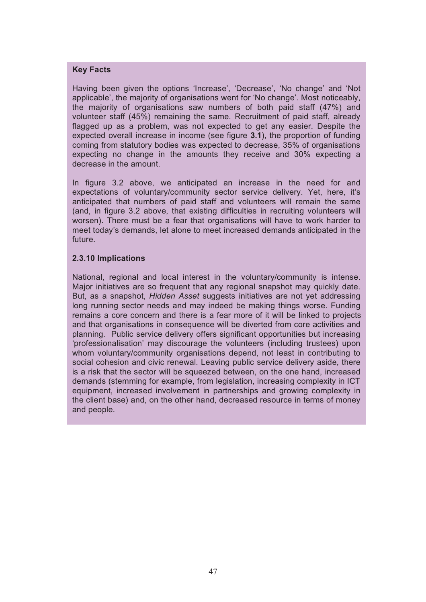#### **Key Facts**

Having been given the options 'Increase', 'Decrease', 'No change' and 'Not applicable', the majority of organisations went for 'No change'. Most noticeably, the majority of organisations saw numbers of both paid staff (47%) and volunteer staff (45%) remaining the same. Recruitment of paid staff, already flagged up as a problem, was not expected to get any easier. Despite the expected overall increase in income (see figure **3.1**), the proportion of funding coming from statutory bodies was expected to decrease, 35% of organisations expecting no change in the amounts they receive and 30% expecting a decrease in the amount.

In figure 3.2 above, we anticipated an increase in the need for and expectations of voluntary/community sector service delivery. Yet, here, it's anticipated that numbers of paid staff and volunteers will remain the same (and, in figure 3.2 above, that existing difficulties in recruiting volunteers will worsen). There must be a fear that organisations will have to work harder to meet today's demands, let alone to meet increased demands anticipated in the future.

#### **2.3.10 Implications**

National, regional and local interest in the voluntary/community is intense. Major initiatives are so frequent that any regional snapshot may quickly date. But, as a snapshot, *Hidden Asset* suggests initiatives are not yet addressing long running sector needs and may indeed be making things worse. Funding remains a core concern and there is a fear more of it will be linked to projects and that organisations in consequence will be diverted from core activities and planning. Public service delivery offers significant opportunities but increasing 'professionalisation' may discourage the volunteers (including trustees) upon whom voluntary/community organisations depend, not least in contributing to social cohesion and civic renewal. Leaving public service delivery aside, there is a risk that the sector will be squeezed between, on the one hand, increased demands (stemming for example, from legislation, increasing complexity in ICT equipment, increased involvement in partnerships and growing complexity in the client base) and, on the other hand, decreased resource in terms of money and people.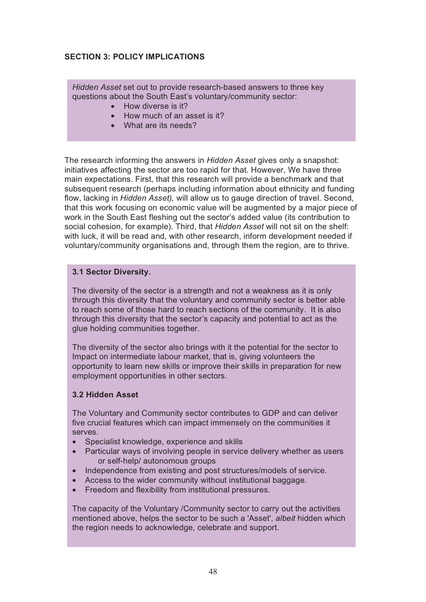# **SECTION 3: POLICY IMPLICATIONS**

*Hidden Asset* set out to provide research-based answers to three key questions about the South East's voluntary/community sector:

- How diverse is it?
- How much of an asset is it?
- What are its needs?

The research informing the answers in *Hidden Asset* gives only a snapshot: initiatives affecting the sector are too rapid for that. However, We have three main expectations. First, that this research will provide a benchmark and that subsequent research (perhaps including information about ethnicity and funding flow, lacking in *Hidden Asset),* will allow us to gauge direction of travel. Second, that this work focusing on economic value will be augmented by a major piece of work in the South East fleshing out the sector's added value (its contribution to social cohesion, for example). Third, that *Hidden Asset* will not sit on the shelf: with luck, it will be read and, with other research, inform development needed if voluntary/community organisations and, through them the region, are to thrive.

#### **3.1 Sector Diversity.**

The diversity of the sector is a strength and not a weakness as it is only through this diversity that the voluntary and community sector is better able to reach some of those hard to reach sections of the community. It is also through this diversity that the sector's capacity and potential to act as the glue holding communities together.

The diversity of the sector also brings with it the potential for the sector to Impact on intermediate labour market, that is, giving volunteers the opportunity to learn new skills or improve their skills in preparation for new employment opportunities in other sectors.

#### **3.2 Hidden Asset**

The Voluntary and Community sector contributes to GDP and can deliver five crucial features which can impact immensely on the communities it serves.

- Specialist knowledge, experience and skills
- Particular ways of involving people in service delivery whether as users or self-help/ autonomous groups
- Independence from existing and post structures/models of service.
- Access to the wider community without institutional baggage.
- Freedom and flexibility from institutional pressures.

The capacity of the Voluntary /Community sector to carry out the activities mentioned above, helps the sector to be such a 'Asset', *albeit* hidden which the region needs to acknowledge, celebrate and support.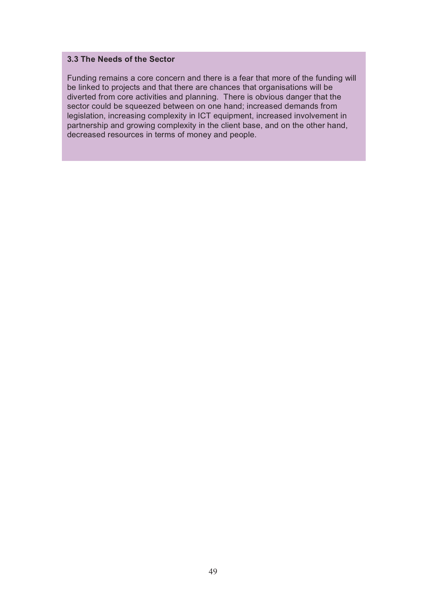#### **3.3 The Needs of the Sector**

Funding remains a core concern and there is a fear that more of the funding will be linked to projects and that there are chances that organisations will be diverted from core activities and planning. There is obvious danger that the sector could be squeezed between on one hand; increased demands from legislation, increasing complexity in ICT equipment, increased involvement in partnership and growing complexity in the client base, and on the other hand, decreased resources in terms of money and people.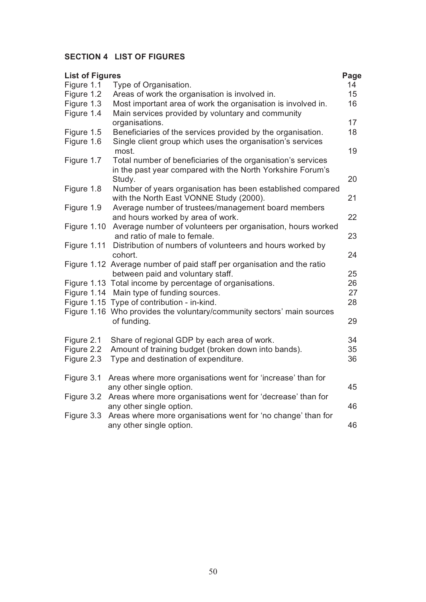# **SECTION 4 LIST OF FIGURES**

| <b>List of Figures</b> |                                                                                                                                      | Page |
|------------------------|--------------------------------------------------------------------------------------------------------------------------------------|------|
| Figure 1.1             | Type of Organisation.                                                                                                                | 14   |
| Figure 1.2             | Areas of work the organisation is involved in.                                                                                       | 15   |
| Figure 1.3             | Most important area of work the organisation is involved in.                                                                         | 16   |
| Figure 1.4             | Main services provided by voluntary and community                                                                                    |      |
|                        | organisations.                                                                                                                       | 17   |
| Figure 1.5             | Beneficiaries of the services provided by the organisation.                                                                          | 18   |
| Figure 1.6             | Single client group which uses the organisation's services<br>most.                                                                  | 19   |
| Figure 1.7             | Total number of beneficiaries of the organisation's services<br>in the past year compared with the North Yorkshire Forum's<br>Study. | 20   |
| Figure 1.8             | Number of years organisation has been established compared                                                                           |      |
|                        | with the North East VONNE Study (2000).                                                                                              | 21   |
| Figure 1.9             | Average number of trustees/management board members<br>and hours worked by area of work.                                             | 22   |
| Figure 1.10            | Average number of volunteers per organisation, hours worked<br>and ratio of male to female.                                          | 23   |
| Figure 1.11            |                                                                                                                                      |      |
|                        | Distribution of numbers of volunteers and hours worked by<br>cohort.                                                                 | 24   |
|                        | Figure 1.12 Average number of paid staff per organisation and the ratio<br>between paid and voluntary staff.                         | 25   |
|                        | Figure 1.13 Total income by percentage of organisations.                                                                             | 26   |
|                        | Figure 1.14 Main type of funding sources.                                                                                            | 27   |
|                        | Figure 1.15 Type of contribution - in-kind.                                                                                          | 28   |
|                        | Figure 1.16 Who provides the voluntary/community sectors' main sources                                                               |      |
|                        | of funding.                                                                                                                          | 29   |
| Figure 2.1             | Share of regional GDP by each area of work.                                                                                          | 34   |
| Figure 2.2             | Amount of training budget (broken down into bands).                                                                                  | 35   |
| Figure 2.3             | Type and destination of expenditure.                                                                                                 | 36   |
| Figure 3.1             | Areas where more organisations went for 'increase' than for                                                                          |      |
|                        | any other single option.                                                                                                             | 45   |
| Figure 3.2             | Areas where more organisations went for 'decrease' than for                                                                          |      |
|                        | any other single option.                                                                                                             | 46   |
| Figure 3.3             | Areas where more organisations went for 'no change' than for<br>any other single option.                                             | 46   |
|                        |                                                                                                                                      |      |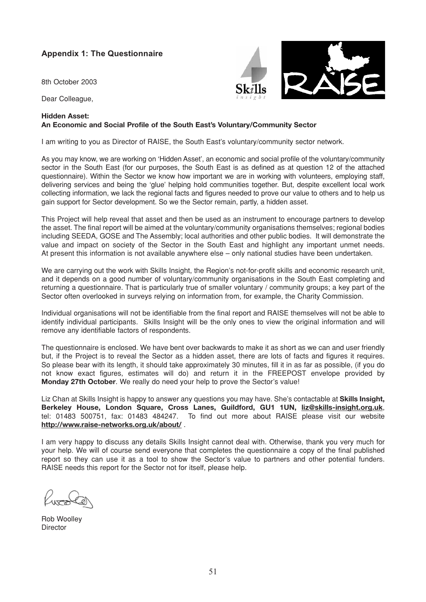# **Appendix 1: The Questionnaire**

8th October 2003

Dear Colleague,

#### **Hidden Asset:**

#### **An Economic and Social Profile of the South East's Voluntary/Community Sector**

I am writing to you as Director of RAISE, the South East's voluntary/community sector network.

As you may know, we are working on 'Hidden Asset', an economic and social profile of the voluntary/community sector in the South East (for our purposes, the South East is as defined as at question 12 of the attached questionnaire). Within the Sector we know how important we are in working with volunteers, employing staff, delivering services and being the 'glue' helping hold communities together. But, despite excellent local work collecting information, we lack the regional facts and figures needed to prove our value to others and to help us gain support for Sector development. So we the Sector remain, partly, a hidden asset.

This Project will help reveal that asset and then be used as an instrument to encourage partners to develop the asset. The final report will be aimed at the voluntary/community organisations themselves; regional bodies including SEEDA, GOSE and The Assembly; local authorities and other public bodies. It will demonstrate the value and impact on society of the Sector in the South East and highlight any important unmet needs. At present this information is not available anywhere else – only national studies have been undertaken.

We are carrying out the work with Skills Insight, the Region's not-for-profit skills and economic research unit, and it depends on a good number of voluntary/community organisations in the South East completing and returning a questionnaire. That is particularly true of smaller voluntary / community groups; a key part of the Sector often overlooked in surveys relying on information from, for example, the Charity Commission.

Individual organisations will not be identifiable from the final report and RAISE themselves will not be able to identify individual participants. Skills Insight will be the only ones to view the original information and will remove any identifiable factors of respondents.

The questionnaire is enclosed. We have bent over backwards to make it as short as we can and user friendly but, if the Project is to reveal the Sector as a hidden asset, there are lots of facts and figures it requires. So please bear with its length, it should take approximately 30 minutes, fill it in as far as possible, (if you do not know exact figures, estimates will do) and return it in the FREEPOST envelope provided by **Monday 27th October**. We really do need your help to prove the Sector's value!

Liz Chan at Skills Insight is happy to answer any questions you may have. She's contactable at **Skills Insight, Berkeley House, London Square, Cross Lanes, Guildford, GU1 1UN, liz@skills-insight.org.uk**, tel: 01483 500751, fax: 01483 484247. To find out more about RAISE please visit our website **http://www.raise-networks.org.uk/about/** .

I am very happy to discuss any details Skills Insight cannot deal with. Otherwise, thank you very much for your help. We will of course send everyone that completes the questionnaire a copy of the final published report so they can use it as a tool to show the Sector's value to partners and other potential funders. RAISE needs this report for the Sector not for itself, please help.

 $D \cap L$ 

Rob Woolley **Director** 

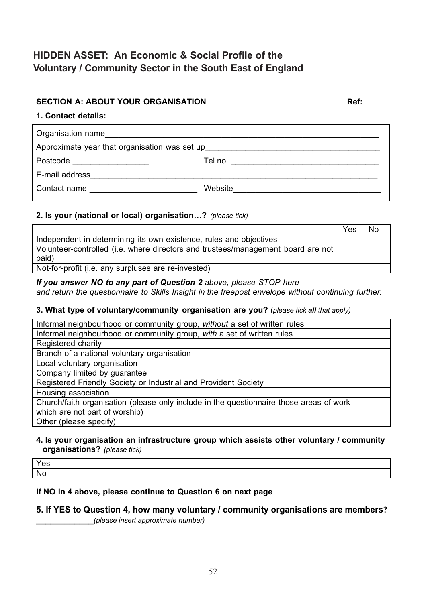# **HIDDEN ASSET: An Economic & Social Profile of the Voluntary / Community Sector in the South East of England**

### **SECTION A: ABOUT YOUR ORGANISATION MEDITY ASSESSED ASSESSED ASSESSED ASSESSED ASSESSED ASSESSED ASSESSED AND REF:**

#### **1. Contact details:**

| Organisation name                                                                |                                          |
|----------------------------------------------------------------------------------|------------------------------------------|
| Approximate year that organisation was set up___________________________________ |                                          |
| Postcode ___________________                                                     | Tel.no. ________________________________ |
| E-mail address                                                                   |                                          |
| Contact name                                                                     | Website                                  |

### **2. Is your (national or local) organisation…?** *(please tick)*

|                                                                                  | Yes | No. |
|----------------------------------------------------------------------------------|-----|-----|
| Independent in determining its own existence, rules and objectives               |     |     |
| Volunteer-controlled (i.e. where directors and trustees/management board are not |     |     |
| paid)                                                                            |     |     |
| Not-for-profit (i.e. any surpluses are re-invested)                              |     |     |

#### *If you answer NO to any part of Question 2 above, please STOP here*

*and return the questionnaire to Skills Insight in the freepost envelope without continuing further.*

#### **3. What type of voluntary/community organisation are you?** (*please tick all that apply)*

| Informal neighbourhood or community group, without a set of written rules               |  |
|-----------------------------------------------------------------------------------------|--|
| Informal neighbourhood or community group, with a set of written rules                  |  |
| Registered charity                                                                      |  |
| Branch of a national voluntary organisation                                             |  |
| Local voluntary organisation                                                            |  |
| Company limited by guarantee                                                            |  |
| Registered Friendly Society or Industrial and Provident Society                         |  |
| Housing association                                                                     |  |
| Church/faith organisation (please only include in the questionnaire those areas of work |  |
| which are not part of worship)                                                          |  |
| Other (please specify)                                                                  |  |

#### **4. Is your organisation an infrastructure group which assists other voluntary / community organisations?** *(please tick)*

| Yes       |  |
|-----------|--|
| <b>Nc</b> |  |
|           |  |

#### **If NO in 4 above, please continue to Question 6 on next page**

#### **5. If YES to Question 4, how many voluntary / community organisations are members?** \_\_\_\_\_\_\_\_\_\_\_\_*(please insert approximate number)*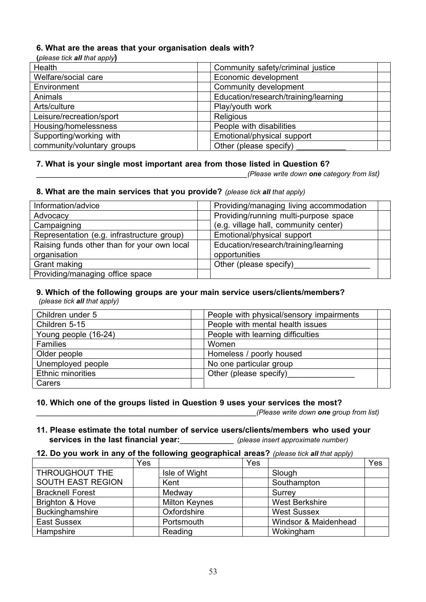#### **6. What are the areas that your organisation deals with?**

**(***please tick all that apply***)**

| Health                     | Community safety/criminal justice    |
|----------------------------|--------------------------------------|
| Welfare/social care        | Economic development                 |
| Environment                | Community development                |
| Animals                    | Education/research/training/learning |
| Arts/culture               | Play/youth work                      |
| Leisure/recreation/sport   | <b>Religious</b>                     |
| Housing/homelessness       | People with disabilities             |
| Supporting/working with    | Emotional/physical support           |
| community/voluntary groups | Other (please specify)               |
|                            |                                      |

#### **7. What is your single most important area from those listed in Question 6?**

\_\_\_\_\_\_\_\_\_\_\_\_\_\_\_\_\_\_\_\_\_\_\_\_\_\_\_\_\_\_\_\_\_\_\_\_\_\_\_\_\_\_\_\_\_\_\_*(Please write down one category from list)*

#### **8. What are the main services that you provide?** *(please tick all that apply)*

| Information/advice                          | Providing/managing living accommodation |
|---------------------------------------------|-----------------------------------------|
| Advocacy                                    | Providing/running multi-purpose space   |
| Campaigning                                 | (e.g. village hall, community center)   |
| Representation (e.g. infrastructure group)  | Emotional/physical support              |
| Raising funds other than for your own local | Education/research/training/learning    |
| organisation                                | opportunities                           |
| Grant making                                | Other (please specify)                  |
| Providing/managing office space             |                                         |

# **9. Which of the following groups are your main service users/clients/members?**

*(please tick all that apply)*

| Children under 5         | People with physical/sensory impairments |
|--------------------------|------------------------------------------|
| Children 5-15            | People with mental health issues         |
| Young people (16-24)     | People with learning difficulties        |
| <b>Families</b>          | Women                                    |
| Older people             | Homeless / poorly housed                 |
| Unemployed people        | No one particular group                  |
| <b>Ethnic minorities</b> | Other (please specify)                   |
| Carers                   |                                          |

#### **10. Which one of the groups listed in Question 9 uses your services the most?**

\_\_\_\_\_\_\_\_\_\_\_\_\_\_\_\_\_\_\_\_\_\_\_\_\_\_\_\_\_\_\_\_\_\_\_\_\_\_\_\_\_\_\_\_\_\_\_\_\_*(Please write down one group from list)*

#### **11. Please estimate the total number of service users/clients/members who used your services in the last financial year:**\_\_\_\_\_\_\_\_\_\_\_\_ *(please insert approximate number)*

#### **12. Do you work in any of the following geographical areas?** *(please tick all that apply)*

|                         | Yes |                      | Yes |                       | Yes |
|-------------------------|-----|----------------------|-----|-----------------------|-----|
| THROUGHOUT THE          |     | Isle of Wight        |     | Slough                |     |
| SOUTH EAST REGION       |     | Kent                 |     | Southampton           |     |
| <b>Bracknell Forest</b> |     | Medway               |     | Surrey                |     |
| Brighton & Hove         |     | <b>Milton Keynes</b> |     | <b>West Berkshire</b> |     |
| Buckinghamshire         |     | Oxfordshire          |     | <b>West Sussex</b>    |     |
| <b>East Sussex</b>      |     | Portsmouth           |     | Windsor & Maidenhead  |     |
| Hampshire               |     | Reading              |     | Wokingham             |     |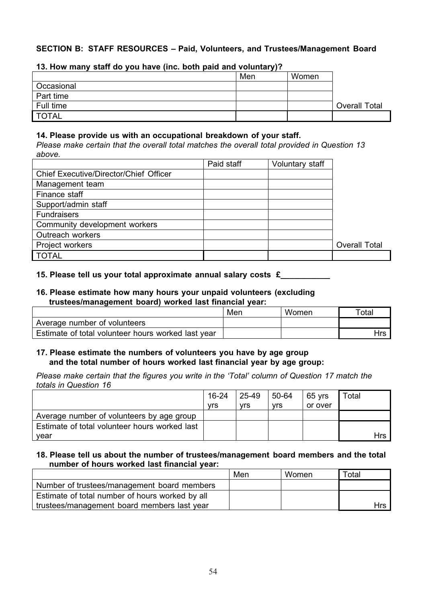# **SECTION B: STAFF RESOURCES – Paid, Volunteers, and Trustees/Management Board**

|            | Men | Women |                      |
|------------|-----|-------|----------------------|
| Occasional |     |       |                      |
| Part time  |     |       |                      |
| Full time  |     |       | <b>Overall Total</b> |
| TOTAL      |     |       |                      |

#### **13. How many staff do you have (inc. both paid and voluntary)?**

#### **14. Please provide us with an occupational breakdown of your staff.**

*Please make certain that the overall total matches the overall total provided in Question 13 above.*

|                                               | Paid staff | Voluntary staff |                      |
|-----------------------------------------------|------------|-----------------|----------------------|
| <b>Chief Executive/Director/Chief Officer</b> |            |                 |                      |
| Management team                               |            |                 |                      |
| Finance staff                                 |            |                 |                      |
| Support/admin staff                           |            |                 |                      |
| <b>Fundraisers</b>                            |            |                 |                      |
| Community development workers                 |            |                 |                      |
| Outreach workers                              |            |                 |                      |
| Project workers                               |            |                 | <b>Overall Total</b> |
| <b>TOTAL</b>                                  |            |                 |                      |

#### **15. Please tell us your total approximate annual salary costs £\_\_\_\_\_\_\_\_\_\_\_**

#### **16. Please estimate how many hours your unpaid volunteers (excluding trustees/management board) worked last financial year:**

|                                                    | Men | Women | $\tau$ otal |
|----------------------------------------------------|-----|-------|-------------|
| Average number of volunteers                       |     |       |             |
| Estimate of total volunteer hours worked last year |     |       | Hrs         |

#### **17. Please estimate the numbers of volunteers you have by age group and the total number of hours worked last financial year by age group:**

*Please make certain that the figures you write in the 'Total' column of Question 17 match the totals in Question 16*

|                                               | $16 - 24$ | 25-49      | 50-64      | 65 yrs  | Total  |
|-----------------------------------------------|-----------|------------|------------|---------|--------|
|                                               | vrs       | <b>vrs</b> | <b>vrs</b> | or over |        |
| Average number of volunteers by age group     |           |            |            |         |        |
| Estimate of total volunteer hours worked last |           |            |            |         |        |
| vear                                          |           |            |            |         | $H$ rs |

#### **18. Please tell us about the number of trustees/management board members and the total number of hours worked last financial year:**

|                                                 | Men | Women | Total    |
|-------------------------------------------------|-----|-------|----------|
| Number of trustees/management board members     |     |       |          |
| Estimate of total number of hours worked by all |     |       |          |
| trustees/management board members last year     |     |       | $H$ rs I |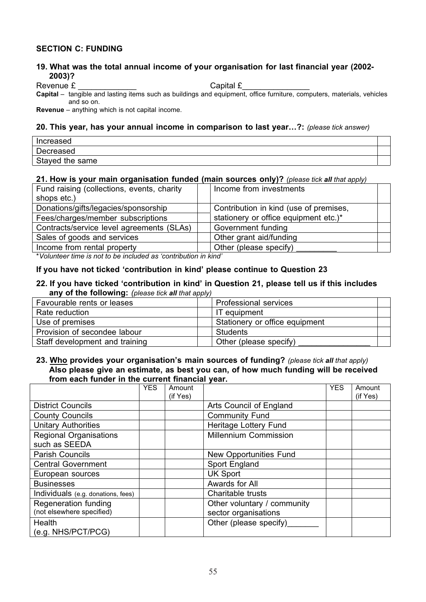#### **SECTION C: FUNDING**

#### **19. What was the total annual income of your organisation for last financial year (2002- 2003)?**

Revenue £ \_\_\_\_\_\_\_\_\_\_\_\_\_ Capital £\_\_\_\_\_\_\_\_\_\_\_\_\_\_\_

**Capital** – tangible and lasting items such as buildings and equipment, office furniture, computers, materials, vehicles and so on.

**Revenue** – anything which is not capital income.

#### **20. This year, has your annual income in comparison to last year…?:** *(please tick answer)*

| Increased       |  |
|-----------------|--|
| Decreased       |  |
| Stayed the same |  |

#### **21. How is your main organisation funded (main sources only)?** *(please tick all that apply)*

| Fund raising (collections, events, charity | Income from investments                |  |
|--------------------------------------------|----------------------------------------|--|
| shops etc.)                                |                                        |  |
| Donations/gifts/legacies/sponsorship       | Contribution in kind (use of premises, |  |
| Fees/charges/member subscriptions          | stationery or office equipment etc.)*  |  |
| Contracts/service level agreements (SLAs)  | Government funding                     |  |
| Sales of goods and services                | Other grant aid/funding                |  |
| Income from rental property                | Other (please specify)                 |  |
|                                            |                                        |  |

*\*Volunteer time is not to be included as 'contribution in kind'*

#### **If you have not ticked 'contribution in kind' please continue to Question 23**

#### **22. If you have ticked 'contribution in kind' in Question 21, please tell us if this includes any of the following:** *(please tick all that apply)*

| .                              |                                |
|--------------------------------|--------------------------------|
| Favourable rents or leases     | <b>Professional services</b>   |
| Rate reduction                 | IT equipment                   |
| Use of premises                | Stationery or office equipment |
| Provision of secondee labour   | Students                       |
| Staff development and training | Other (please specify)         |

#### **23. Who provides your organisation's main sources of funding?** *(please tick all that apply)* **Also please give an estimate, as best you can, of how much funding will be received from each funder in the current financial year.**

|                                    | <b>YES</b> | Amount   |                               | <b>YES</b> | Amount   |
|------------------------------------|------------|----------|-------------------------------|------------|----------|
|                                    |            | (if Yes) |                               |            | (if Yes) |
| <b>District Councils</b>           |            |          | Arts Council of England       |            |          |
| <b>County Councils</b>             |            |          | <b>Community Fund</b>         |            |          |
| <b>Unitary Authorities</b>         |            |          | Heritage Lottery Fund         |            |          |
| <b>Regional Organisations</b>      |            |          | <b>Millennium Commission</b>  |            |          |
| such as SEEDA                      |            |          |                               |            |          |
| <b>Parish Councils</b>             |            |          | <b>New Opportunities Fund</b> |            |          |
| <b>Central Government</b>          |            |          | Sport England                 |            |          |
| European sources                   |            |          | <b>UK Sport</b>               |            |          |
| <b>Businesses</b>                  |            |          | Awards for All                |            |          |
| Individuals (e.g. donations, fees) |            |          | Charitable trusts             |            |          |
| Regeneration funding               |            |          | Other voluntary / community   |            |          |
| (not elsewhere specified)          |            |          | sector organisations          |            |          |
| Health                             |            |          | Other (please specify)        |            |          |
| (e.g. NHS/PCT/PCG)                 |            |          |                               |            |          |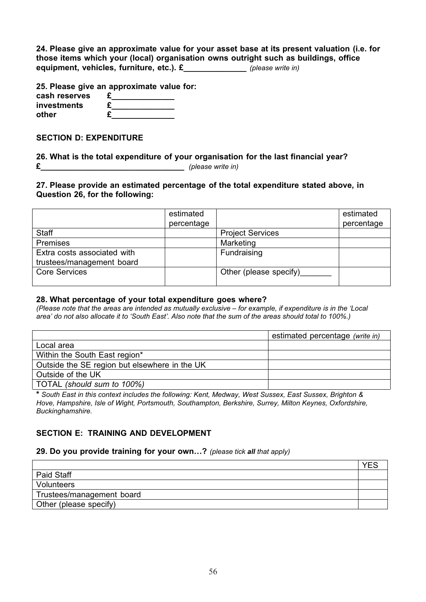| 24. Please give an approximate value for your asset base at its present valuation (i.e. for |                   |
|---------------------------------------------------------------------------------------------|-------------------|
| those items which your (local) organisation owns outright such as buildings, office         |                   |
| equipment, vehicles, furniture, etc.). £                                                    | (please write in) |

**25. Please give an approximate value for:**

| cash reserves |  |
|---------------|--|
| investments   |  |
| other         |  |

**SECTION D: EXPENDITURE**

**26. What is the total expenditure of your organisation for the last financial year? £\_\_\_\_\_\_\_\_\_\_\_\_\_\_\_\_\_\_\_\_\_\_\_\_\_\_\_\_\_\_\_\_** *(please write in)*

**27. Please provide an estimated percentage of the total expenditure stated above, in Question 26, for the following:**

|                             | estimated  |                         | estimated  |
|-----------------------------|------------|-------------------------|------------|
|                             | percentage |                         | percentage |
| <b>Staff</b>                |            | <b>Project Services</b> |            |
| <b>Premises</b>             |            | Marketing               |            |
| Extra costs associated with |            | Fundraising             |            |
| trustees/management board   |            |                         |            |
| <b>Core Services</b>        |            | Other (please specify)  |            |
|                             |            |                         |            |

#### **28. What percentage of your total expenditure goes where?**

*(Please note that the areas are intended as mutually exclusive – for example, if expenditure is in the 'Local area' do not also allocate it to 'South East'. Also note that the sum of the areas should total to 100%.)*

|                                               | estimated percentage (write in) |
|-----------------------------------------------|---------------------------------|
| Local area                                    |                                 |
| Within the South East region*                 |                                 |
| Outside the SE region but elsewhere in the UK |                                 |
| Outside of the UK                             |                                 |
| TOTAL (should sum to 100%)                    |                                 |

**\*** *South East in this context includes the following: Kent, Medway, West Sussex, East Sussex, Brighton & Hove, Hampshire, Isle of Wight, Portsmouth, Southampton, Berkshire, Surrey, Milton Keynes, Oxfordshire, Buckinghamshire.*

### **SECTION E: TRAINING AND DEVELOPMENT**

**29. Do you provide training for your own…?** *(please tick all that apply)*

| Paid Staff                |  |
|---------------------------|--|
| Volunteers                |  |
| Trustees/management board |  |
| Other (please specify)    |  |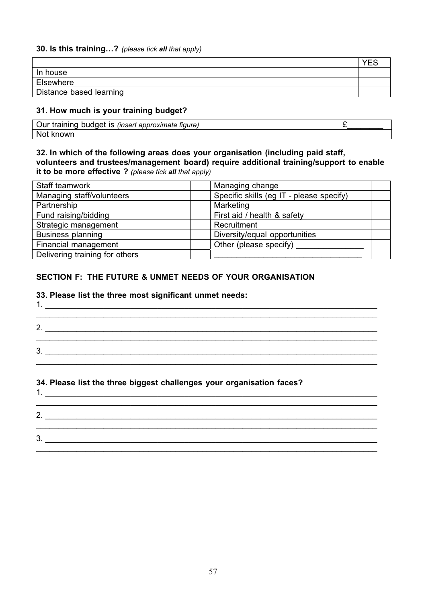#### **30. Is this training…?** *(please tick all that apply)*

|                         | $\sqrt{r}$ |
|-------------------------|------------|
| In house                |            |
| Elsewhere               |            |
| Distance based learning |            |

#### **31. How much is your training budget?**

| Our<br>$+ 5015152$<br>. IS<br>tenhun<br>(insert approximate figure)<br>training |  |
|---------------------------------------------------------------------------------|--|
| N∩ı<br>kn∩wr                                                                    |  |

#### **32. In which of the following areas does your organisation (including paid staff, volunteers and trustees/management board) require additional training/support to enable it to be more effective ?** *(please tick all that apply)*

| Staff teamwork                 | Managing change                          |
|--------------------------------|------------------------------------------|
| Managing staff/volunteers      | Specific skills (eg IT - please specify) |
| Partnership                    | Marketing                                |
| Fund raising/bidding           | First aid / health & safety              |
| Strategic management           | Recruitment                              |
| <b>Business planning</b>       | Diversity/equal opportunities            |
| Financial management           | Other (please specify)                   |
| Delivering training for others |                                          |

#### **SECTION F: THE FUTURE & UNMET NEEDS OF YOUR ORGANISATION**

#### **33. Please list the three most significant unmet needs:**

| л  |  |
|----|--|
| 2. |  |
| 3. |  |
|    |  |

#### **34. Please list the three biggest challenges your organisation faces?**

| л  |  |  |  |
|----|--|--|--|
| 2. |  |  |  |
| 3. |  |  |  |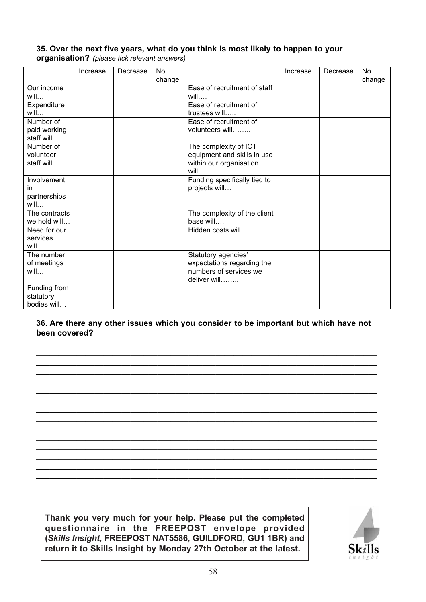#### **35. Over the next five years, what do you think is most likely to happen to your organisation?** *(please tick relevant answers)*

|                                           | Increase | Decrease | No.<br>change |                                                                                             | Increase | Decrease | No<br>change |
|-------------------------------------------|----------|----------|---------------|---------------------------------------------------------------------------------------------|----------|----------|--------------|
| Our income<br>will                        |          |          |               | Ease of recruitment of staff<br>will                                                        |          |          |              |
| Expenditure<br>will                       |          |          |               | Ease of recruitment of<br>trustees will                                                     |          |          |              |
| Number of<br>paid working<br>staff will   |          |          |               | Ease of recruitment of<br>volunteers will                                                   |          |          |              |
| Number of<br>volunteer<br>staff will      |          |          |               | The complexity of ICT<br>equipment and skills in use<br>within our organisation<br>will     |          |          |              |
| Involvement<br>in<br>partnerships<br>will |          |          |               | Funding specifically tied to<br>projects will                                               |          |          |              |
| The contracts<br>we hold will             |          |          |               | The complexity of the client<br>base will                                                   |          |          |              |
| Need for our<br>services<br>will          |          |          |               | Hidden costs will                                                                           |          |          |              |
| The number<br>of meetings<br>will         |          |          |               | Statutory agencies'<br>expectations regarding the<br>numbers of services we<br>deliver will |          |          |              |
| Funding from<br>statutory<br>bodies will  |          |          |               |                                                                                             |          |          |              |

**36. Are there any other issues which you consider to be important but which have not been covered?**

**\_\_\_\_\_\_\_\_\_\_\_\_\_\_\_\_\_\_\_\_\_\_\_\_\_\_\_\_\_\_\_\_\_\_\_\_\_\_\_\_\_\_\_\_\_\_\_\_\_\_\_\_\_\_\_\_\_\_\_\_\_\_\_\_\_\_\_\_\_\_\_\_\_\_\_\_**

**\_\_\_\_\_\_\_\_\_\_\_\_\_\_\_\_\_\_\_\_\_\_\_\_\_\_\_\_\_\_\_\_\_\_\_\_\_\_\_\_\_\_\_\_\_\_\_\_\_\_\_\_\_\_\_\_\_\_\_\_\_\_\_\_\_\_\_\_\_\_\_\_\_\_\_\_ \_\_\_\_\_\_\_\_\_\_\_\_\_\_\_\_\_\_\_\_\_\_\_\_\_\_\_\_\_\_\_\_\_\_\_\_\_\_\_\_\_\_\_\_\_\_\_\_\_\_\_\_\_\_\_\_\_\_\_\_\_\_\_\_\_\_\_\_\_\_\_\_\_\_\_\_ \_\_\_\_\_\_\_\_\_\_\_\_\_\_\_\_\_\_\_\_\_\_\_\_\_\_\_\_\_\_\_\_\_\_\_\_\_\_\_\_\_\_\_\_\_\_\_\_\_\_\_\_\_\_\_\_\_\_\_\_\_\_\_\_\_\_\_\_\_\_\_\_\_\_\_\_ \_\_\_\_\_\_\_\_\_\_\_\_\_\_\_\_\_\_\_\_\_\_\_\_\_\_\_\_\_\_\_\_\_\_\_\_\_\_\_\_\_\_\_\_\_\_\_\_\_\_\_\_\_\_\_\_\_\_\_\_\_\_\_\_\_\_\_\_\_\_\_\_\_\_\_\_ \_\_\_\_\_\_\_\_\_\_\_\_\_\_\_\_\_\_\_\_\_\_\_\_\_\_\_\_\_\_\_\_\_\_\_\_\_\_\_\_\_\_\_\_\_\_\_\_\_\_\_\_\_\_\_\_\_\_\_\_\_\_\_\_\_\_\_\_\_\_\_\_\_\_\_\_ \_\_\_\_\_\_\_\_\_\_\_\_\_\_\_\_\_\_\_\_\_\_\_\_\_\_\_\_\_\_\_\_\_\_\_\_\_\_\_\_\_\_\_\_\_\_\_\_\_\_\_\_\_\_\_\_\_\_\_\_\_\_\_\_\_\_\_\_\_\_\_\_\_\_\_\_ \_\_\_\_\_\_\_\_\_\_\_\_\_\_\_\_\_\_\_\_\_\_\_\_\_\_\_\_\_\_\_\_\_\_\_\_\_\_\_\_\_\_\_\_\_\_\_\_\_\_\_\_\_\_\_\_\_\_\_\_\_\_\_\_\_\_\_\_\_\_\_\_\_\_\_\_ \_\_\_\_\_\_\_\_\_\_\_\_\_\_\_\_\_\_\_\_\_\_\_\_\_\_\_\_\_\_\_\_\_\_\_\_\_\_\_\_\_\_\_\_\_\_\_\_\_\_\_\_\_\_\_\_\_\_\_\_\_\_\_\_\_\_\_\_\_\_\_\_\_\_\_\_ \_\_\_\_\_\_\_\_\_\_\_\_\_\_\_\_\_\_\_\_\_\_\_\_\_\_\_\_\_\_\_\_\_\_\_\_\_\_\_\_\_\_\_\_\_\_\_\_\_\_\_\_\_\_\_\_\_\_\_\_\_\_\_\_\_\_\_\_\_\_\_\_\_\_\_\_ \_\_\_\_\_\_\_\_\_\_\_\_\_\_\_\_\_\_\_\_\_\_\_\_\_\_\_\_\_\_\_\_\_\_\_\_\_\_\_\_\_\_\_\_\_\_\_\_\_\_\_\_\_\_\_\_\_\_\_\_\_\_\_\_\_\_\_\_\_\_\_\_\_\_\_\_ \_\_\_\_\_\_\_\_\_\_\_\_\_\_\_\_\_\_\_\_\_\_\_\_\_\_\_\_\_\_\_\_\_\_\_\_\_\_\_\_\_\_\_\_\_\_\_\_\_\_\_\_\_\_\_\_\_\_\_\_\_\_\_\_\_\_\_\_\_\_\_\_\_\_\_\_ \_\_\_\_\_\_\_\_\_\_\_\_\_\_\_\_\_\_\_\_\_\_\_\_\_\_\_\_\_\_\_\_\_\_\_\_\_\_\_\_\_\_\_\_\_\_\_\_\_\_\_\_\_\_\_\_\_\_\_\_\_\_\_\_\_\_\_\_\_\_\_\_\_\_\_\_ \_\_\_\_\_\_\_\_\_\_\_\_\_\_\_\_\_\_\_\_\_\_\_\_\_\_\_\_\_\_\_\_\_\_\_\_\_\_\_\_\_\_\_\_\_\_\_\_\_\_\_\_\_\_\_\_\_\_\_\_\_\_\_\_\_\_\_\_\_\_\_\_\_\_\_\_**

**Thank you very much for your help. Please put the completed questionnaire in the FREEPOST envelope provided (***Skills Insight***, FREEPOST NAT5586, GUILDFORD, GU1 1BR) and return it to Skills Insight by Monday 27th October at the latest.**

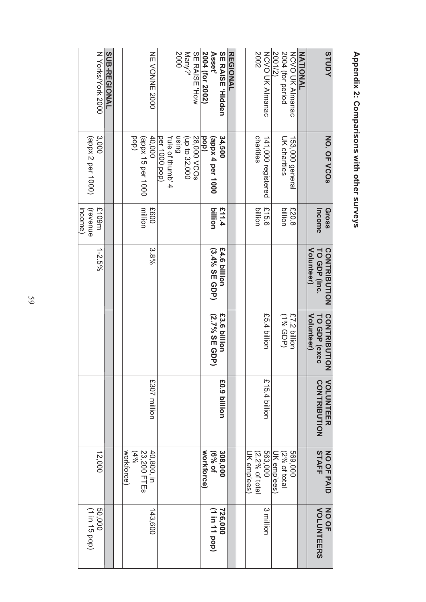| SUB-REGIONAL            |  | NE VONNE 2000<br>40,000<br>(dod<br>(appx 15 per 1000<br>million<br>E600 | Many?'<br>2000<br>rule of thumb' 4<br>Duisn<br>per 1000 pop) | SE RAISE "How<br>28,000 VCOs<br>(up to 32,000 | 2004 (for 2002)<br>Asset'<br>(appx 4 per 1000<br><b>lop</b><br>billion | <b>SE RAISE Higden</b><br>34,500<br>£11.4 | <b>REGIONAL</b> | 2002<br><b>NCVO UK Almanac</b><br>charities<br>141,000 registered<br>515.6<br>pillion | 2004 (for period<br>2001/2)<br>NCVO UK Almanac<br>UK charities<br>153,000 general<br>hillion<br>£20.8 | <b>NATIONAL</b> | STUDY<br>NO. OF VCOS<br>Gross                             |
|-------------------------|--|-------------------------------------------------------------------------|--------------------------------------------------------------|-----------------------------------------------|------------------------------------------------------------------------|-------------------------------------------|-----------------|---------------------------------------------------------------------------------------|-------------------------------------------------------------------------------------------------------|-----------------|-----------------------------------------------------------|
| £109m<br>(revenue       |  |                                                                         |                                                              |                                               |                                                                        |                                           |                 |                                                                                       |                                                                                                       |                 | Income                                                    |
| $1 - 2.5\%$             |  | 3.8%                                                                    |                                                              |                                               | (3.4% SE GDP)                                                          | £4.6 billion                              |                 |                                                                                       |                                                                                                       |                 | TO GDP (inc.<br><b>Volunteer</b> )<br><b>CONTRIBUTION</b> |
|                         |  |                                                                         |                                                              |                                               | (2.7% SE GDP)                                                          | £3.6 billion                              |                 | £5.4 billion                                                                          | (496 %L)<br>£7.2 billion                                                                              |                 | CONTRIBUTION<br><b>Volunteer</b><br>TO GDP (exec          |
|                         |  | £307 million                                                            |                                                              |                                               |                                                                        | £0.9 billion                              |                 | £15.4 billion                                                                         |                                                                                                       |                 | <b>VOLUNTEER</b><br>CONTRIBUTION                          |
| 12,000                  |  | workforce)<br>40,800, in<br>23,200 FTEs<br>(496)                        |                                                              |                                               | workforce)<br>10 % of                                                  | 308,000                                   |                 | 563,000<br>$(2.2%$ of total<br>UK emp'ees                                             | 569,000<br>$(2%$ of total<br>UK emp'ees)                                                              |                 | STAFF<br>NO OF PAID                                       |
| (1 in 15 pop)<br>000'09 |  | 143,600                                                                 |                                                              |                                               | (1 in 11 pop)                                                          | 726,000                                   |                 | 3 million                                                                             |                                                                                                       |                 | <b>VOLUNTEERS</b><br>NO OF                                |

# **Appendix 2:Comparisons with othersurveys**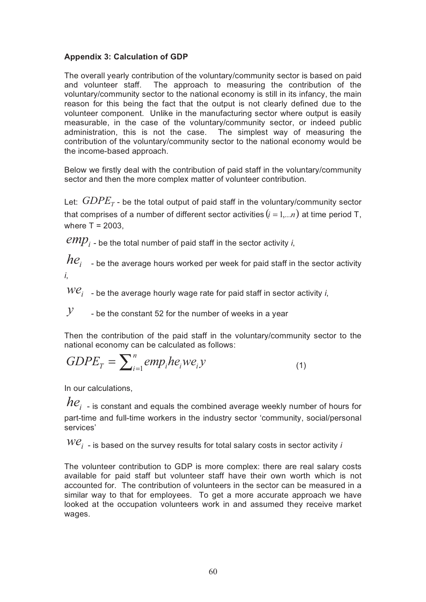# **Appendix 3: Calculation of GDP**

The overall yearly contribution of the voluntary/community sector is based on paid and volunteer staff. The approach to measuring the contribution of the voluntary/community sector to the national economy is still in its infancy, the main reason for this being the fact that the output is not clearly defined due to the volunteer component. Unlike in the manufacturing sector where output is easily measurable, in the case of the voluntary/community sector, or indeed public administration, this is not the case. The simplest way of measuring the contribution of the voluntary/community sector to the national economy would be the income-based approach.

Below we firstly deal with the contribution of paid staff in the voluntary/community sector and then the more complex matter of volunteer contribution.

Let:  $GDPE<sub>r</sub>$  - be the total output of paid staff in the voluntary/community sector that comprises of a number of different sector activities  $(i = 1,...n)$  at time period T, where  $T = 2003$ ,

 $\ell m p_i$  - be the total number of paid staff in the sector activity *i*,

 $he_i$  - be the average hours worked per week for paid staff in the sector activity *i*,

 $W\mathcal{C}_i$  - be the average hourly wage rate for paid staff in sector activity *i*,

 $\mathcal{Y}$  - be the constant 52 for the number of weeks in a year

Then the contribution of the paid staff in the voluntary/community sector to the national economy can be calculated as follows:

$$
GDPE_{T} = \sum_{i=1}^{n} emp_{i}he_{i}we_{i}y
$$
\n(1)

In our calculations,

 $he_i$  <sub>-</sub> is constant and equals the combined average weekly number of hours for part-time and full-time workers in the industry sector 'community, social/personal services'

 $W\mathcal{C}_i$  - is based on the survey results for total salary costs in sector activity *i* 

The volunteer contribution to GDP is more complex: there are real salary costs available for paid staff but volunteer staff have their own worth which is not accounted for. The contribution of volunteers in the sector can be measured in a similar way to that for employees. To get a more accurate approach we have looked at the occupation volunteers work in and assumed they receive market wages.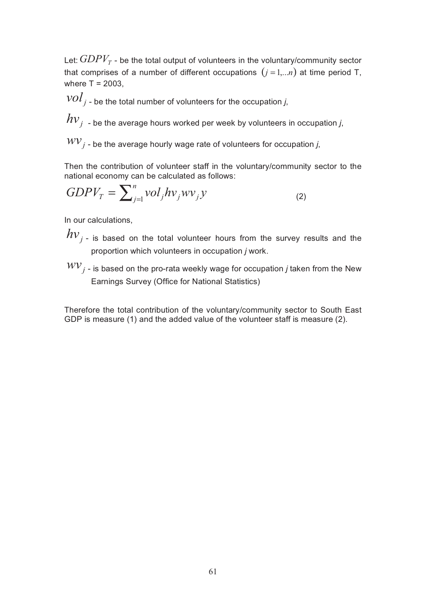Let:  $GDPV<sub>T</sub>$  - be the total output of volunteers in the voluntary/community sector that comprises of a number of different occupations  $(j = 1,...n)$  at time period T, where  $T = 2003$ ,

 $vol_{j}$  - be the total number of volunteers for the occupation *j*,

 $h\nu_{j}$  - be the average hours worked per week by volunteers in occupation *j*,

 $WV$ <sub>*j*</sub> - be the average hourly wage rate of volunteers for occupation *j*,

Then the contribution of volunteer staff in the voluntary/community sector to the national economy can be calculated as follows:

$$
GDPV_T = \sum_{j=1}^{n} vol_j hv_j wv_j y \tag{2}
$$

In our calculations,

 $hv_{j}$  - is based on the total volunteer hours from the survey results and the proportion which volunteers in occupation *j* work.

 $WV_j$  - is based on the pro-rata weekly wage for occupation *j* taken from the New Earnings Survey (Office for National Statistics)

Therefore the total contribution of the voluntary/community sector to South East GDP is measure (1) and the added value of the volunteer staff is measure (2).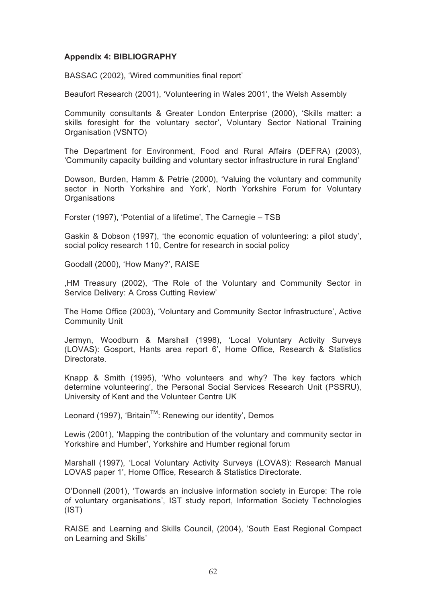#### **Appendix 4: BIBLIOGRAPHY**

BASSAC (2002), 'Wired communities final report'

Beaufort Research (2001), 'Volunteering in Wales 2001', the Welsh Assembly

Community consultants & Greater London Enterprise (2000), 'Skills matter: a skills foresight for the voluntary sector', Voluntary Sector National Training Organisation (VSNTO)

The Department for Environment, Food and Rural Affairs (DEFRA) (2003), 'Community capacity building and voluntary sector infrastructure in rural England'

Dowson, Burden, Hamm & Petrie (2000), 'Valuing the voluntary and community sector in North Yorkshire and York', North Yorkshire Forum for Voluntary **Organisations** 

Forster (1997), 'Potential of a lifetime', The Carnegie – TSB

Gaskin & Dobson (1997), 'the economic equation of volunteering: a pilot study', social policy research 110, Centre for research in social policy

Goodall (2000), 'How Many?', RAISE

,HM Treasury (2002), 'The Role of the Voluntary and Community Sector in Service Delivery: A Cross Cutting Review'

The Home Office (2003), 'Voluntary and Community Sector Infrastructure', Active Community Unit

Jermyn, Woodburn & Marshall (1998), 'Local Voluntary Activity Surveys (LOVAS): Gosport, Hants area report 6', Home Office, Research & Statistics Directorate.

Knapp & Smith (1995), 'Who volunteers and why? The key factors which determine volunteering', the Personal Social Services Research Unit (PSSRU), University of Kent and the Volunteer Centre UK

Leonard (1997), 'Britain<sup>™</sup>: Renewing our identity', Demos

Lewis (2001), 'Mapping the contribution of the voluntary and community sector in Yorkshire and Humber', Yorkshire and Humber regional forum

Marshall (1997), 'Local Voluntary Activity Surveys (LOVAS): Research Manual LOVAS paper 1', Home Office, Research & Statistics Directorate.

O'Donnell (2001), 'Towards an inclusive information society in Europe: The role of voluntary organisations', IST study report, Information Society Technologies (IST)

RAISE and Learning and Skills Council, (2004), 'South East Regional Compact on Learning and Skills'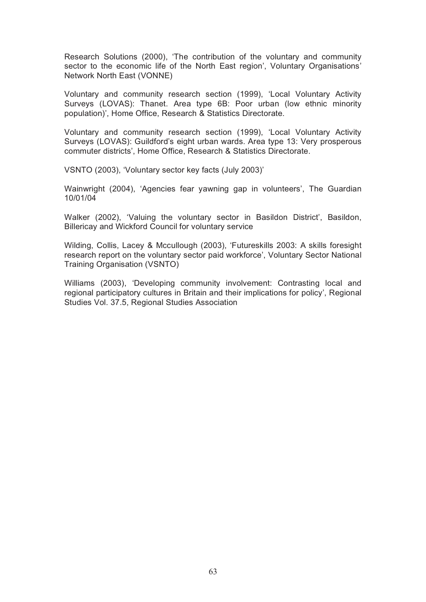Research Solutions (2000), 'The contribution of the voluntary and community sector to the economic life of the North East region', Voluntary Organisations' Network North East (VONNE)

Voluntary and community research section (1999), 'Local Voluntary Activity Surveys (LOVAS): Thanet. Area type 6B: Poor urban (low ethnic minority population)', Home Office, Research & Statistics Directorate.

Voluntary and community research section (1999), 'Local Voluntary Activity Surveys (LOVAS): Guildford's eight urban wards. Area type 13: Very prosperous commuter districts', Home Office, Research & Statistics Directorate.

VSNTO (2003), 'Voluntary sector key facts (July 2003)'

Wainwright (2004), 'Agencies fear yawning gap in volunteers', The Guardian 10/01/04

Walker (2002), 'Valuing the voluntary sector in Basildon District', Basildon, Billericay and Wickford Council for voluntary service

Wilding, Collis, Lacey & Mccullough (2003), 'Futureskills 2003: A skills foresight research report on the voluntary sector paid workforce', Voluntary Sector National Training Organisation (VSNTO)

Williams (2003), 'Developing community involvement: Contrasting local and regional participatory cultures in Britain and their implications for policy', Regional Studies Vol. 37.5, Regional Studies Association